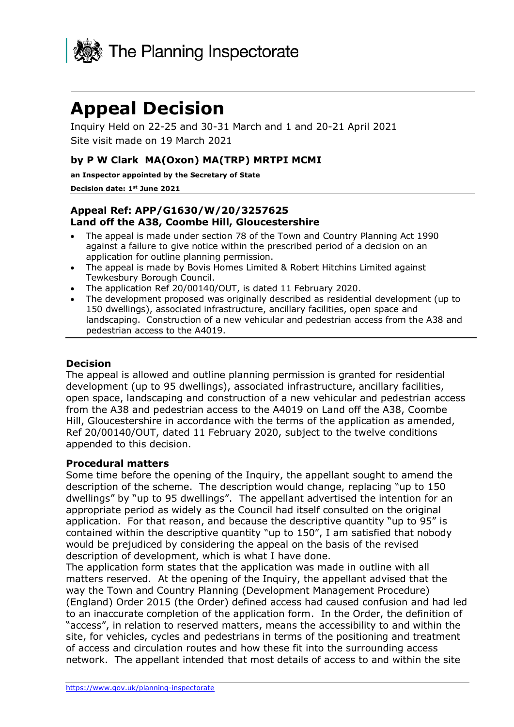

# **Appeal Decision**

Inquiry Held on 22-25 and 30-31 March and 1 and 20-21 April 2021 Site visit made on 19 March 2021

## **by P W Clark MA(Oxon) MA(TRP) MRTPI MCMI**

**an Inspector appointed by the Secretary of State** 

#### **Decision date: 1 st June 2021**

## **Appeal Ref: APP/G1630/W/20/3257625 Land off the A38, Coombe Hill, Gloucestershire**

- The appeal is made under section 78 of the Town and Country Planning Act 1990 against a failure to give notice within the prescribed period of a decision on an application for outline planning permission.
- The appeal is made by Bovis Homes Limited & Robert Hitchins Limited against Tewkesbury Borough Council.
- The application Ref 20/00140/OUT, is dated 11 February 2020.
- The development proposed was originally described as residential development (up to 150 dwellings), associated infrastructure, ancillary facilities, open space and landscaping. Construction of a new vehicular and pedestrian access from the A38 and pedestrian access to the A4019.

## **Decision**

The appeal is allowed and outline planning permission is granted for residential development (up to 95 dwellings), associated infrastructure, ancillary facilities, open space, landscaping and construction of a new vehicular and pedestrian access from the A38 and pedestrian access to the A4019 on Land off the A38, Coombe Hill, Gloucestershire in accordance with the terms of the application as amended, Ref 20/00140/OUT, dated 11 February 2020, subject to the twelve conditions appended to this decision.

## **Procedural matters**

Some time before the opening of the Inquiry, the appellant sought to amend the description of the scheme. The description would change, replacing "up to 150 dwellings" by "up to 95 dwellings". The appellant advertised the intention for an appropriate period as widely as the Council had itself consulted on the original application. For that reason, and because the descriptive quantity "up to 95" is contained within the descriptive quantity "up to 150", I am satisfied that nobody would be prejudiced by considering the appeal on the basis of the revised description of development, which is what I have done.

The application form states that the application was made in outline with all matters reserved. At the opening of the Inquiry, the appellant advised that the way the Town and Country Planning (Development Management Procedure) (England) Order 2015 (the Order) defined access had caused confusion and had led to an inaccurate completion of the application form. In the Order, the definition of "access", in relation to reserved matters, means the accessibility to and within the site, for vehicles, cycles and pedestrians in terms of the positioning and treatment of access and circulation routes and how these fit into the surrounding access network. The appellant intended that most details of access to and within the site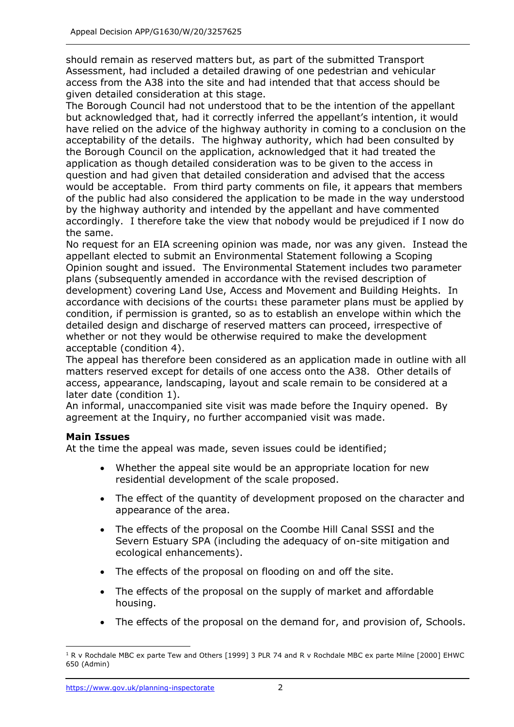should remain as reserved matters but, as part of the submitted Transport Assessment, had included a detailed drawing of one pedestrian and vehicular access from the A38 into the site and had intended that that access should be given detailed consideration at this stage.

The Borough Council had not understood that to be the intention of the appellant but acknowledged that, had it correctly inferred the appellant's intention, it would have relied on the advice of the highway authority in coming to a conclusion on the acceptability of the details. The highway authority, which had been consulted by the Borough Council on the application, acknowledged that it had treated the application as though detailed consideration was to be given to the access in question and had given that detailed consideration and advised that the access would be acceptable. From third party comments on file, it appears that members of the public had also considered the application to be made in the way understood by the highway authority and intended by the appellant and have commented accordingly. I therefore take the view that nobody would be prejudiced if I now do the same.

No request for an EIA screening opinion was made, nor was any given. Instead the appellant elected to submit an Environmental Statement following a Scoping Opinion sought and issued. The Environmental Statement includes two parameter plans (subsequently amended in accordance with the revised description of development) covering Land Use, Access and Movement and Building Heights. In accordance with decisions of the courts1 these parameter plans must be applied by condition, if permission is granted, so as to establish an envelope within which the detailed design and discharge of reserved matters can proceed, irrespective of whether or not they would be otherwise required to make the development acceptable (condition 4).

The appeal has therefore been considered as an application made in outline with all matters reserved except for details of one access onto the A38. Other details of access, appearance, landscaping, layout and scale remain to be considered at a later date (condition 1).

An informal, unaccompanied site visit was made before the Inquiry opened. By agreement at the Inquiry, no further accompanied visit was made.

## **Main Issues**

At the time the appeal was made, seven issues could be identified;

- Whether the appeal site would be an appropriate location for new residential development of the scale proposed.
- The effect of the quantity of development proposed on the character and appearance of the area.
- The effects of the proposal on the Coombe Hill Canal SSSI and the Severn Estuary SPA (including the adequacy of on-site mitigation and ecological enhancements).
- The effects of the proposal on flooding on and off the site.
- The effects of the proposal on the supply of market and affordable housing.
- The effects of the proposal on the demand for, and provision of, Schools.

<sup>&</sup>lt;sup>1</sup> R v Rochdale MBC ex parte Tew and Others [1999] 3 PLR 74 and R v Rochdale MBC ex parte Milne [2000] EHWC 650 (Admin)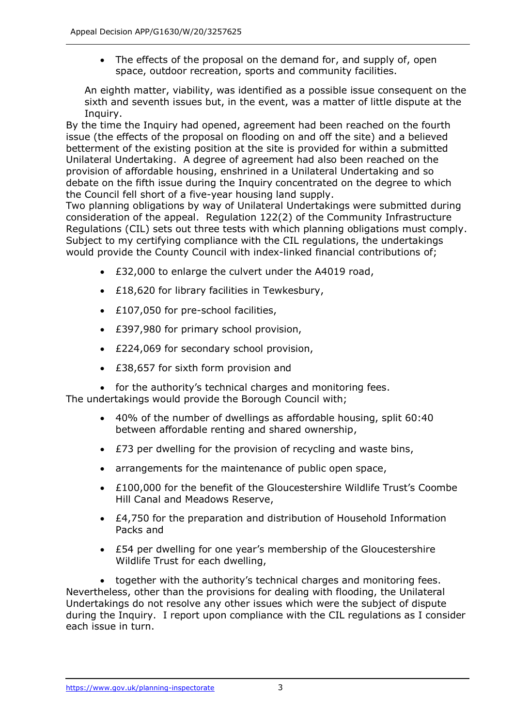• The effects of the proposal on the demand for, and supply of, open space, outdoor recreation, sports and community facilities.

An eighth matter, viability, was identified as a possible issue consequent on the sixth and seventh issues but, in the event, was a matter of little dispute at the Inquiry.

By the time the Inquiry had opened, agreement had been reached on the fourth issue (the effects of the proposal on flooding on and off the site) and a believed betterment of the existing position at the site is provided for within a submitted Unilateral Undertaking. A degree of agreement had also been reached on the provision of affordable housing, enshrined in a Unilateral Undertaking and so debate on the fifth issue during the Inquiry concentrated on the degree to which the Council fell short of a five-year housing land supply.

Two planning obligations by way of Unilateral Undertakings were submitted during consideration of the appeal. Regulation 122(2) of the Community Infrastructure Regulations (CIL) sets out three tests with which planning obligations must comply. Subject to my certifying compliance with the CIL regulations, the undertakings would provide the County Council with index-linked financial contributions of;

- £32,000 to enlarge the culvert under the A4019 road,
- £18,620 for library facilities in Tewkesbury,
- £107,050 for pre-school facilities,
- £397,980 for primary school provision,
- £224,069 for secondary school provision,
- £38,657 for sixth form provision and
- for the authority's technical charges and monitoring fees.

The undertakings would provide the Borough Council with;

- 40% of the number of dwellings as affordable housing, split 60:40 between affordable renting and shared ownership,
- £73 per dwelling for the provision of recycling and waste bins,
- arrangements for the maintenance of public open space,
- £100,000 for the benefit of the Gloucestershire Wildlife Trust's Coombe Hill Canal and Meadows Reserve,
- £4,750 for the preparation and distribution of Household Information Packs and
- £54 per dwelling for one year's membership of the Gloucestershire Wildlife Trust for each dwelling,

• together with the authority's technical charges and monitoring fees. Nevertheless, other than the provisions for dealing with flooding, the Unilateral Undertakings do not resolve any other issues which were the subject of dispute during the Inquiry. I report upon compliance with the CIL regulations as I consider each issue in turn.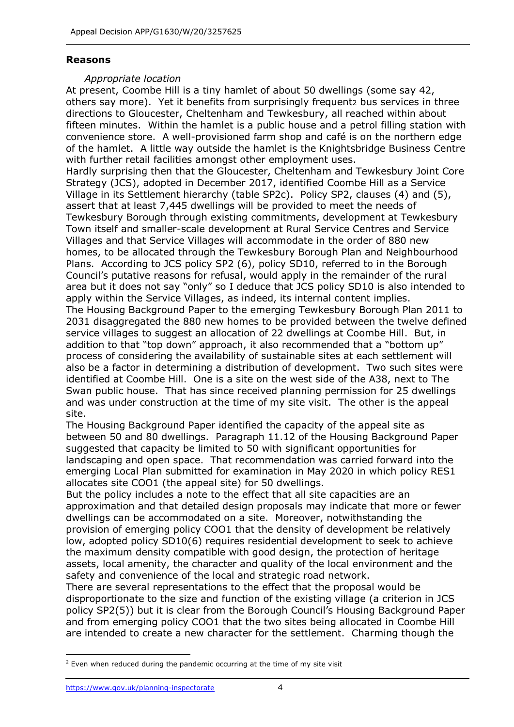#### **Reasons**

#### *Appropriate location*

At present, Coombe Hill is a tiny hamlet of about 50 dwellings (some say 42, others say more). Yet it benefits from surprisingly frequentz bus services in three directions to Gloucester, Cheltenham and Tewkesbury, all reached within about fifteen minutes. Within the hamlet is a public house and a petrol filling station with convenience store. A well-provisioned farm shop and café is on the northern edge of the hamlet. A little way outside the hamlet is the Knightsbridge Business Centre with further retail facilities amongst other employment uses.

Hardly surprising then that the Gloucester, Cheltenham and Tewkesbury Joint Core Strategy (JCS), adopted in December 2017, identified Coombe Hill as a Service Village in its Settlement hierarchy (table SP2c). Policy SP2, clauses (4) and (5), assert that at least 7,445 dwellings will be provided to meet the needs of Tewkesbury Borough through existing commitments, development at Tewkesbury Town itself and smaller-scale development at Rural Service Centres and Service Villages and that Service Villages will accommodate in the order of 880 new homes, to be allocated through the Tewkesbury Borough Plan and Neighbourhood Plans. According to JCS policy SP2 (6), policy SD10, referred to in the Borough Council's putative reasons for refusal, would apply in the remainder of the rural area but it does not say "only" so I deduce that JCS policy SD10 is also intended to apply within the Service Villages, as indeed, its internal content implies. The Housing Background Paper to the emerging Tewkesbury Borough Plan 2011 to 2031 disaggregated the 880 new homes to be provided between the twelve defined service villages to suggest an allocation of 22 dwellings at Coombe Hill. But, in addition to that "top down" approach, it also recommended that a "bottom up" process of considering the availability of sustainable sites at each settlement will also be a factor in determining a distribution of development. Two such sites were identified at Coombe Hill. One is a site on the west side of the A38, next to The Swan public house. That has since received planning permission for 25 dwellings and was under construction at the time of my site visit. The other is the appeal site.

The Housing Background Paper identified the capacity of the appeal site as between 50 and 80 dwellings. Paragraph 11.12 of the Housing Background Paper suggested that capacity be limited to 50 with significant opportunities for landscaping and open space. That recommendation was carried forward into the emerging Local Plan submitted for examination in May 2020 in which policy RES1 allocates site COO1 (the appeal site) for 50 dwellings.

But the policy includes a note to the effect that all site capacities are an approximation and that detailed design proposals may indicate that more or fewer dwellings can be accommodated on a site. Moreover, notwithstanding the provision of emerging policy COO1 that the density of development be relatively low, adopted policy SD10(6) requires residential development to seek to achieve the maximum density compatible with good design, the protection of heritage assets, local amenity, the character and quality of the local environment and the safety and convenience of the local and strategic road network.

There are several representations to the effect that the proposal would be disproportionate to the size and function of the existing village (a criterion in JCS policy SP2(5)) but it is clear from the Borough Council's Housing Background Paper and from emerging policy COO1 that the two sites being allocated in Coombe Hill are intended to create a new character for the settlement. Charming though the

<sup>&</sup>lt;sup>2</sup> Even when reduced during the pandemic occurring at the time of my site visit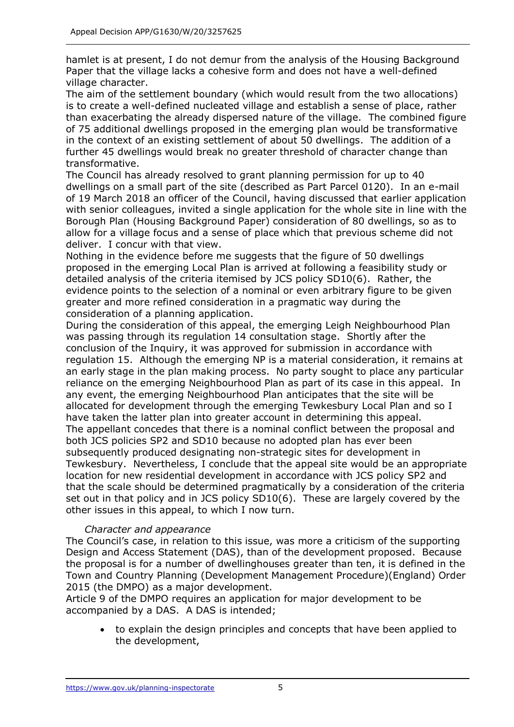hamlet is at present, I do not demur from the analysis of the Housing Background Paper that the village lacks a cohesive form and does not have a well-defined village character.

The aim of the settlement boundary (which would result from the two allocations) is to create a well-defined nucleated village and establish a sense of place, rather than exacerbating the already dispersed nature of the village. The combined figure of 75 additional dwellings proposed in the emerging plan would be transformative in the context of an existing settlement of about 50 dwellings. The addition of a further 45 dwellings would break no greater threshold of character change than transformative.

The Council has already resolved to grant planning permission for up to 40 dwellings on a small part of the site (described as Part Parcel 0120). In an e-mail of 19 March 2018 an officer of the Council, having discussed that earlier application with senior colleagues, invited a single application for the whole site in line with the Borough Plan (Housing Background Paper) consideration of 80 dwellings, so as to allow for a village focus and a sense of place which that previous scheme did not deliver. I concur with that view.

Nothing in the evidence before me suggests that the figure of 50 dwellings proposed in the emerging Local Plan is arrived at following a feasibility study or detailed analysis of the criteria itemised by JCS policy SD10(6). Rather, the evidence points to the selection of a nominal or even arbitrary figure to be given greater and more refined consideration in a pragmatic way during the consideration of a planning application.

During the consideration of this appeal, the emerging Leigh Neighbourhood Plan was passing through its regulation 14 consultation stage. Shortly after the conclusion of the Inquiry, it was approved for submission in accordance with regulation 15. Although the emerging NP is a material consideration, it remains at an early stage in the plan making process. No party sought to place any particular reliance on the emerging Neighbourhood Plan as part of its case in this appeal. In any event, the emerging Neighbourhood Plan anticipates that the site will be allocated for development through the emerging Tewkesbury Local Plan and so I have taken the latter plan into greater account in determining this appeal. The appellant concedes that there is a nominal conflict between the proposal and both JCS policies SP2 and SD10 because no adopted plan has ever been subsequently produced designating non-strategic sites for development in Tewkesbury. Nevertheless, I conclude that the appeal site would be an appropriate location for new residential development in accordance with JCS policy SP2 and that the scale should be determined pragmatically by a consideration of the criteria set out in that policy and in JCS policy SD10(6). These are largely covered by the other issues in this appeal, to which I now turn.

# *Character and appearance*

The Council's case, in relation to this issue, was more a criticism of the supporting Design and Access Statement (DAS), than of the development proposed. Because the proposal is for a number of dwellinghouses greater than ten, it is defined in the Town and Country Planning (Development Management Procedure)(England) Order 2015 (the DMPO) as a major development.

Article 9 of the DMPO requires an application for major development to be accompanied by a DAS. A DAS is intended;

• to explain the design principles and concepts that have been applied to the development,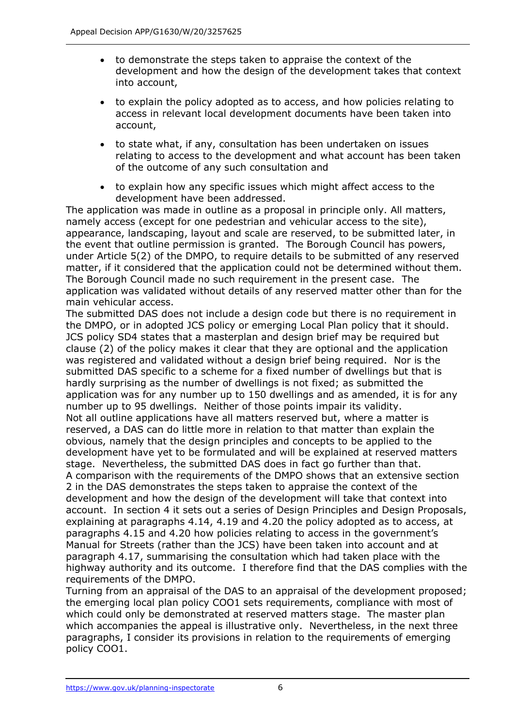- to demonstrate the steps taken to appraise the context of the development and how the design of the development takes that context into account,
- to explain the policy adopted as to access, and how policies relating to access in relevant local development documents have been taken into account,
- to state what, if any, consultation has been undertaken on issues relating to access to the development and what account has been taken of the outcome of any such consultation and
- to explain how any specific issues which might affect access to the development have been addressed.

The application was made in outline as a proposal in principle only. All matters, namely access (except for one pedestrian and vehicular access to the site), appearance, landscaping, layout and scale are reserved, to be submitted later, in the event that outline permission is granted. The Borough Council has powers, under Article 5(2) of the DMPO, to require details to be submitted of any reserved matter, if it considered that the application could not be determined without them. The Borough Council made no such requirement in the present case. The application was validated without details of any reserved matter other than for the main vehicular access.

The submitted DAS does not include a design code but there is no requirement in the DMPO, or in adopted JCS policy or emerging Local Plan policy that it should. JCS policy SD4 states that a masterplan and design brief may be required but clause (2) of the policy makes it clear that they are optional and the application was registered and validated without a design brief being required. Nor is the submitted DAS specific to a scheme for a fixed number of dwellings but that is hardly surprising as the number of dwellings is not fixed; as submitted the application was for any number up to 150 dwellings and as amended, it is for any number up to 95 dwellings. Neither of those points impair its validity. Not all outline applications have all matters reserved but, where a matter is reserved, a DAS can do little more in relation to that matter than explain the obvious, namely that the design principles and concepts to be applied to the development have yet to be formulated and will be explained at reserved matters stage. Nevertheless, the submitted DAS does in fact go further than that. A comparison with the requirements of the DMPO shows that an extensive section 2 in the DAS demonstrates the steps taken to appraise the context of the development and how the design of the development will take that context into account. In section 4 it sets out a series of Design Principles and Design Proposals, explaining at paragraphs 4.14, 4.19 and 4.20 the policy adopted as to access, at paragraphs 4.15 and 4.20 how policies relating to access in the government's Manual for Streets (rather than the JCS) have been taken into account and at paragraph 4.17, summarising the consultation which had taken place with the highway authority and its outcome. I therefore find that the DAS complies with the requirements of the DMPO.

Turning from an appraisal of the DAS to an appraisal of the development proposed; the emerging local plan policy COO1 sets requirements, compliance with most of which could only be demonstrated at reserved matters stage. The master plan which accompanies the appeal is illustrative only. Nevertheless, in the next three paragraphs, I consider its provisions in relation to the requirements of emerging policy COO1.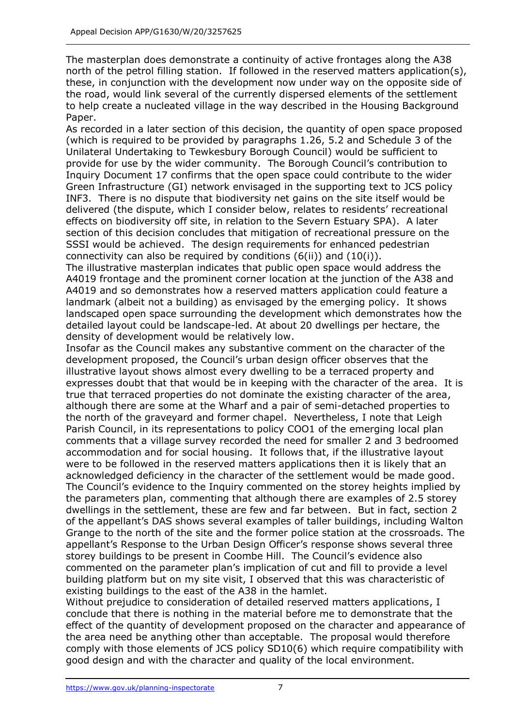The masterplan does demonstrate a continuity of active frontages along the A38 north of the petrol filling station. If followed in the reserved matters application(s), these, in conjunction with the development now under way on the opposite side of the road, would link several of the currently dispersed elements of the settlement to help create a nucleated village in the way described in the Housing Background Paper.

As recorded in a later section of this decision, the quantity of open space proposed (which is required to be provided by paragraphs 1.26, 5.2 and Schedule 3 of the Unilateral Undertaking to Tewkesbury Borough Council) would be sufficient to provide for use by the wider community. The Borough Council's contribution to Inquiry Document 17 confirms that the open space could contribute to the wider Green Infrastructure (GI) network envisaged in the supporting text to JCS policy INF3. There is no dispute that biodiversity net gains on the site itself would be delivered (the dispute, which I consider below, relates to residents' recreational effects on biodiversity off site, in relation to the Severn Estuary SPA). A later section of this decision concludes that mitigation of recreational pressure on the SSSI would be achieved. The design requirements for enhanced pedestrian connectivity can also be required by conditions  $(6(ii))$  and  $(10(i))$ .

The illustrative masterplan indicates that public open space would address the A4019 frontage and the prominent corner location at the junction of the A38 and A4019 and so demonstrates how a reserved matters application could feature a landmark (albeit not a building) as envisaged by the emerging policy. It shows landscaped open space surrounding the development which demonstrates how the detailed layout could be landscape-led. At about 20 dwellings per hectare, the density of development would be relatively low.

Insofar as the Council makes any substantive comment on the character of the development proposed, the Council's urban design officer observes that the illustrative layout shows almost every dwelling to be a terraced property and expresses doubt that that would be in keeping with the character of the area. It is true that terraced properties do not dominate the existing character of the area, although there are some at the Wharf and a pair of semi-detached properties to the north of the graveyard and former chapel. Nevertheless, I note that Leigh Parish Council, in its representations to policy COO1 of the emerging local plan comments that a village survey recorded the need for smaller 2 and 3 bedroomed accommodation and for social housing. It follows that, if the illustrative layout were to be followed in the reserved matters applications then it is likely that an acknowledged deficiency in the character of the settlement would be made good. The Council's evidence to the Inquiry commented on the storey heights implied by the parameters plan, commenting that although there are examples of 2.5 storey dwellings in the settlement, these are few and far between. But in fact, section 2 of the appellant's DAS shows several examples of taller buildings, including Walton Grange to the north of the site and the former police station at the crossroads. The appellant's Response to the Urban Design Officer's response shows several three storey buildings to be present in Coombe Hill. The Council's evidence also commented on the parameter plan's implication of cut and fill to provide a level building platform but on my site visit, I observed that this was characteristic of existing buildings to the east of the A38 in the hamlet.

Without prejudice to consideration of detailed reserved matters applications, I conclude that there is nothing in the material before me to demonstrate that the effect of the quantity of development proposed on the character and appearance of the area need be anything other than acceptable. The proposal would therefore comply with those elements of JCS policy SD10(6) which require compatibility with good design and with the character and quality of the local environment.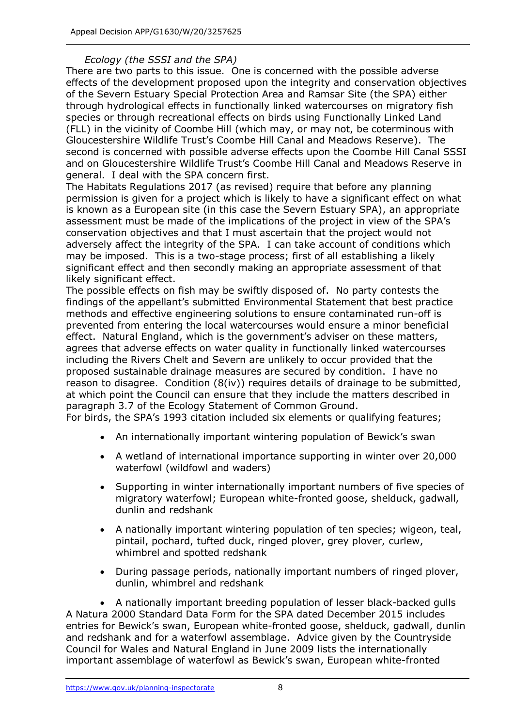## *Ecology (the SSSI and the SPA)*

There are two parts to this issue. One is concerned with the possible adverse effects of the development proposed upon the integrity and conservation objectives of the Severn Estuary Special Protection Area and Ramsar Site (the SPA) either through hydrological effects in functionally linked watercourses on migratory fish species or through recreational effects on birds using Functionally Linked Land (FLL) in the vicinity of Coombe Hill (which may, or may not, be coterminous with Gloucestershire Wildlife Trust's Coombe Hill Canal and Meadows Reserve). The second is concerned with possible adverse effects upon the Coombe Hill Canal SSSI and on Gloucestershire Wildlife Trust's Coombe Hill Canal and Meadows Reserve in general. I deal with the SPA concern first.

The Habitats Regulations 2017 (as revised) require that before any planning permission is given for a project which is likely to have a significant effect on what is known as a European site (in this case the Severn Estuary SPA), an appropriate assessment must be made of the implications of the project in view of the SPA's conservation objectives and that I must ascertain that the project would not adversely affect the integrity of the SPA. I can take account of conditions which may be imposed. This is a two-stage process; first of all establishing a likely significant effect and then secondly making an appropriate assessment of that likely significant effect.

The possible effects on fish may be swiftly disposed of. No party contests the findings of the appellant's submitted Environmental Statement that best practice methods and effective engineering solutions to ensure contaminated run-off is prevented from entering the local watercourses would ensure a minor beneficial effect. Natural England, which is the government's adviser on these matters, agrees that adverse effects on water quality in functionally linked watercourses including the Rivers Chelt and Severn are unlikely to occur provided that the proposed sustainable drainage measures are secured by condition. I have no reason to disagree. Condition (8(iv)) requires details of drainage to be submitted, at which point the Council can ensure that they include the matters described in paragraph 3.7 of the Ecology Statement of Common Ground.

For birds, the SPA's 1993 citation included six elements or qualifying features;

- An internationally important wintering population of Bewick's swan
- A wetland of international importance supporting in winter over 20,000 waterfowl (wildfowl and waders)
- Supporting in winter internationally important numbers of five species of migratory waterfowl; European white-fronted goose, shelduck, gadwall, dunlin and redshank
- A nationally important wintering population of ten species; wigeon, teal, pintail, pochard, tufted duck, ringed plover, grey plover, curlew, whimbrel and spotted redshank
- During passage periods, nationally important numbers of ringed plover, dunlin, whimbrel and redshank

• A nationally important breeding population of lesser black-backed gulls A Natura 2000 Standard Data Form for the SPA dated December 2015 includes entries for Bewick's swan, European white-fronted goose, shelduck, gadwall, dunlin and redshank and for a waterfowl assemblage. Advice given by the Countryside Council for Wales and Natural England in June 2009 lists the internationally important assemblage of waterfowl as Bewick's swan, European white-fronted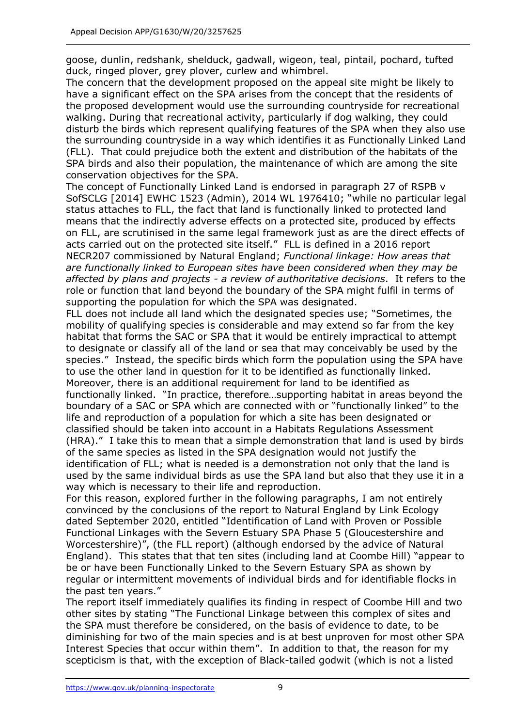goose, dunlin, redshank, shelduck, gadwall, wigeon, teal, pintail, pochard, tufted duck, ringed plover, grey plover, curlew and whimbrel.

The concern that the development proposed on the appeal site might be likely to have a significant effect on the SPA arises from the concept that the residents of the proposed development would use the surrounding countryside for recreational walking. During that recreational activity, particularly if dog walking, they could disturb the birds which represent qualifying features of the SPA when they also use the surrounding countryside in a way which identifies it as Functionally Linked Land (FLL). That could prejudice both the extent and distribution of the habitats of the SPA birds and also their population, the maintenance of which are among the site conservation objectives for the SPA.

The concept of Functionally Linked Land is endorsed in paragraph 27 of RSPB v SofSCLG [2014] EWHC 1523 (Admin), 2014 WL 1976410; "while no particular legal status attaches to FLL, the fact that land is functionally linked to protected land means that the indirectly adverse effects on a protected site, produced by effects on FLL, are scrutinised in the same legal framework just as are the direct effects of acts carried out on the protected site itself." FLL is defined in a 2016 report NECR207 commissioned by Natural England; *Functional linkage: How areas that are functionally linked to European sites have been considered when they may be affected by plans and projects - a review of authoritative decisions*. It refers to the role or function that land beyond the boundary of the SPA might fulfil in terms of supporting the population for which the SPA was designated.

FLL does not include all land which the designated species use; "Sometimes, the mobility of qualifying species is considerable and may extend so far from the key habitat that forms the SAC or SPA that it would be entirely impractical to attempt to designate or classify all of the land or sea that may conceivably be used by the species." Instead, the specific birds which form the population using the SPA have to use the other land in question for it to be identified as functionally linked. Moreover, there is an additional requirement for land to be identified as functionally linked. "In practice, therefore…supporting habitat in areas beyond the boundary of a SAC or SPA which are connected with or "functionally linked" to the life and reproduction of a population for which a site has been designated or classified should be taken into account in a Habitats Regulations Assessment (HRA)." I take this to mean that a simple demonstration that land is used by birds of the same species as listed in the SPA designation would not justify the identification of FLL; what is needed is a demonstration not only that the land is used by the same individual birds as use the SPA land but also that they use it in a way which is necessary to their life and reproduction.

For this reason, explored further in the following paragraphs, I am not entirely convinced by the conclusions of the report to Natural England by Link Ecology dated September 2020, entitled "Identification of Land with Proven or Possible Functional Linkages with the Severn Estuary SPA Phase 5 (Gloucestershire and Worcestershire)", (the FLL report) (although endorsed by the advice of Natural England). This states that that ten sites (including land at Coombe Hill) "appear to be or have been Functionally Linked to the Severn Estuary SPA as shown by regular or intermittent movements of individual birds and for identifiable flocks in the past ten years."

The report itself immediately qualifies its finding in respect of Coombe Hill and two other sites by stating "The Functional Linkage between this complex of sites and the SPA must therefore be considered, on the basis of evidence to date, to be diminishing for two of the main species and is at best unproven for most other SPA Interest Species that occur within them". In addition to that, the reason for my scepticism is that, with the exception of Black-tailed godwit (which is not a listed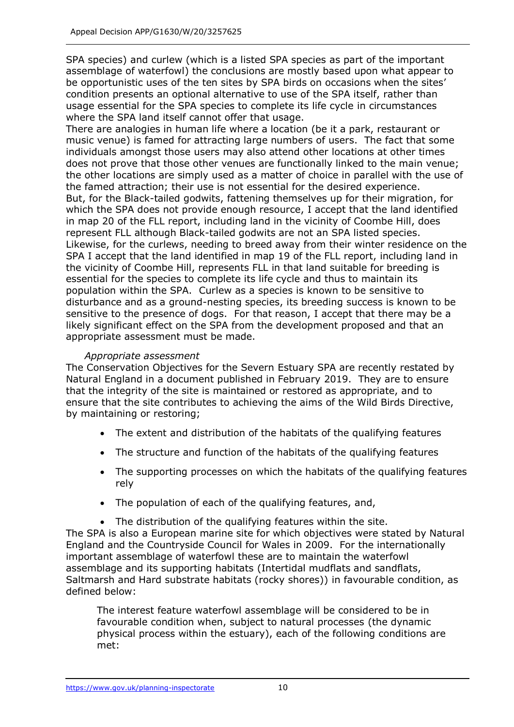SPA species) and curlew (which is a listed SPA species as part of the important assemblage of waterfowl) the conclusions are mostly based upon what appear to be opportunistic uses of the ten sites by SPA birds on occasions when the sites' condition presents an optional alternative to use of the SPA itself, rather than usage essential for the SPA species to complete its life cycle in circumstances where the SPA land itself cannot offer that usage.

There are analogies in human life where a location (be it a park, restaurant or music venue) is famed for attracting large numbers of users. The fact that some individuals amongst those users may also attend other locations at other times does not prove that those other venues are functionally linked to the main venue; the other locations are simply used as a matter of choice in parallel with the use of the famed attraction; their use is not essential for the desired experience. But, for the Black-tailed godwits, fattening themselves up for their migration, for which the SPA does not provide enough resource, I accept that the land identified in map 20 of the FLL report, including land in the vicinity of Coombe Hill, does represent FLL although Black-tailed godwits are not an SPA listed species. Likewise, for the curlews, needing to breed away from their winter residence on the SPA I accept that the land identified in map 19 of the FLL report, including land in the vicinity of Coombe Hill, represents FLL in that land suitable for breeding is essential for the species to complete its life cycle and thus to maintain its population within the SPA. Curlew as a species is known to be sensitive to disturbance and as a ground-nesting species, its breeding success is known to be sensitive to the presence of dogs. For that reason, I accept that there may be a likely significant effect on the SPA from the development proposed and that an appropriate assessment must be made.

## *Appropriate assessment*

The Conservation Objectives for the Severn Estuary SPA are recently restated by Natural England in a document published in February 2019. They are to ensure that the integrity of the site is maintained or restored as appropriate, and to ensure that the site contributes to achieving the aims of the Wild Birds Directive, by maintaining or restoring;

- The extent and distribution of the habitats of the qualifying features
- The structure and function of the habitats of the qualifying features
- The supporting processes on which the habitats of the qualifying features rely
- The population of each of the qualifying features, and,
- The distribution of the qualifying features within the site.

The SPA is also a European marine site for which objectives were stated by Natural England and the Countryside Council for Wales in 2009. For the internationally important assemblage of waterfowl these are to maintain the waterfowl assemblage and its supporting habitats (Intertidal mudflats and sandflats, Saltmarsh and Hard substrate habitats (rocky shores)) in favourable condition, as defined below:

The interest feature waterfowl assemblage will be considered to be in favourable condition when, subject to natural processes (the dynamic physical process within the estuary), each of the following conditions are met: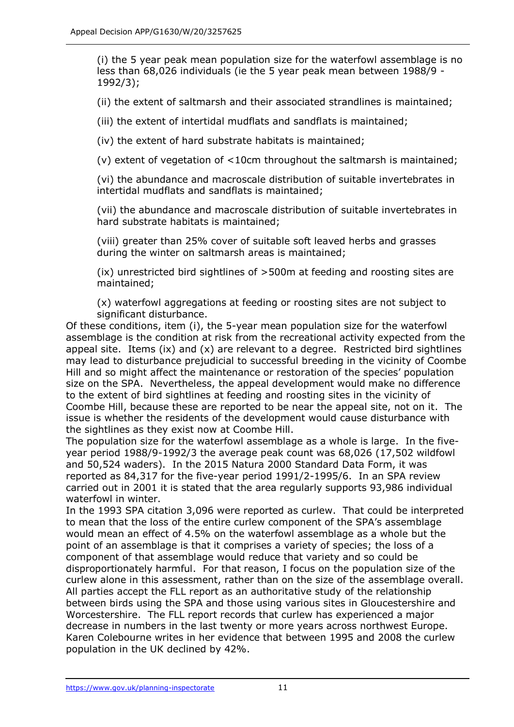(i) the 5 year peak mean population size for the waterfowl assemblage is no less than 68,026 individuals (ie the 5 year peak mean between 1988/9 - 1992/3);

(ii) the extent of saltmarsh and their associated strandlines is maintained;

(iii) the extent of intertidal mudflats and sandflats is maintained;

(iv) the extent of hard substrate habitats is maintained;

(v) extent of vegetation of <10cm throughout the saltmarsh is maintained;

(vi) the abundance and macroscale distribution of suitable invertebrates in intertidal mudflats and sandflats is maintained;

(vii) the abundance and macroscale distribution of suitable invertebrates in hard substrate habitats is maintained;

(viii) greater than 25% cover of suitable soft leaved herbs and grasses during the winter on saltmarsh areas is maintained;

(ix) unrestricted bird sightlines of >500m at feeding and roosting sites are maintained;

(x) waterfowl aggregations at feeding or roosting sites are not subject to significant disturbance.

Of these conditions, item (i), the 5-year mean population size for the waterfowl assemblage is the condition at risk from the recreational activity expected from the appeal site. Items (ix) and (x) are relevant to a degree. Restricted bird sightlines may lead to disturbance prejudicial to successful breeding in the vicinity of Coombe Hill and so might affect the maintenance or restoration of the species' population size on the SPA. Nevertheless, the appeal development would make no difference to the extent of bird sightlines at feeding and roosting sites in the vicinity of Coombe Hill, because these are reported to be near the appeal site, not on it. The issue is whether the residents of the development would cause disturbance with the sightlines as they exist now at Coombe Hill.

The population size for the waterfowl assemblage as a whole is large. In the fiveyear period 1988/9-1992/3 the average peak count was 68,026 (17,502 wildfowl and 50,524 waders). In the 2015 Natura 2000 Standard Data Form, it was reported as 84,317 for the five-year period 1991/2-1995/6. In an SPA review carried out in 2001 it is stated that the area regularly supports 93,986 individual waterfowl in winter.

In the 1993 SPA citation 3,096 were reported as curlew. That could be interpreted to mean that the loss of the entire curlew component of the SPA's assemblage would mean an effect of 4.5% on the waterfowl assemblage as a whole but the point of an assemblage is that it comprises a variety of species; the loss of a component of that assemblage would reduce that variety and so could be disproportionately harmful. For that reason, I focus on the population size of the curlew alone in this assessment, rather than on the size of the assemblage overall. All parties accept the FLL report as an authoritative study of the relationship between birds using the SPA and those using various sites in Gloucestershire and Worcestershire. The FLL report records that curlew has experienced a major decrease in numbers in the last twenty or more years across northwest Europe. Karen Colebourne writes in her evidence that between 1995 and 2008 the curlew population in the UK declined by 42%.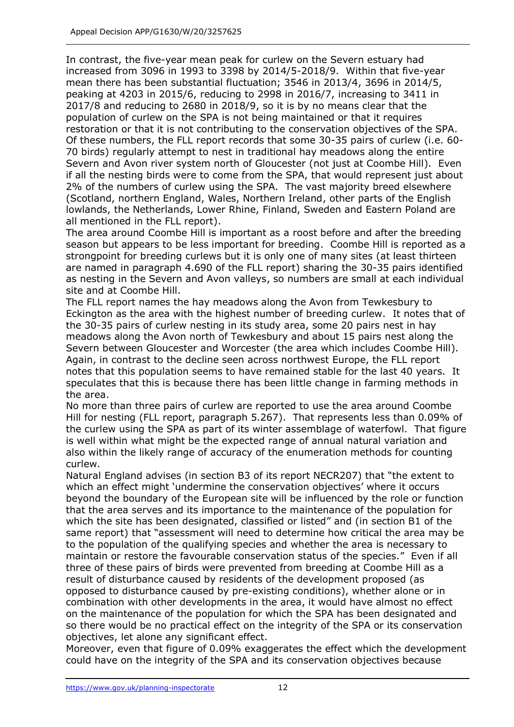In contrast, the five-year mean peak for curlew on the Severn estuary had increased from 3096 in 1993 to 3398 by 2014/5-2018/9. Within that five-year mean there has been substantial fluctuation; 3546 in 2013/4, 3696 in 2014/5, peaking at 4203 in 2015/6, reducing to 2998 in 2016/7, increasing to 3411 in 2017/8 and reducing to 2680 in 2018/9, so it is by no means clear that the population of curlew on the SPA is not being maintained or that it requires restoration or that it is not contributing to the conservation objectives of the SPA. Of these numbers, the FLL report records that some 30-35 pairs of curlew (i.e. 60- 70 birds) regularly attempt to nest in traditional hay meadows along the entire Severn and Avon river system north of Gloucester (not just at Coombe Hill). Even if all the nesting birds were to come from the SPA, that would represent just about 2% of the numbers of curlew using the SPA. The vast majority breed elsewhere (Scotland, northern England, Wales, Northern Ireland, other parts of the English lowlands, the Netherlands, Lower Rhine, Finland, Sweden and Eastern Poland are all mentioned in the FLL report).

The area around Coombe Hill is important as a roost before and after the breeding season but appears to be less important for breeding. Coombe Hill is reported as a strongpoint for breeding curlews but it is only one of many sites (at least thirteen are named in paragraph 4.690 of the FLL report) sharing the 30-35 pairs identified as nesting in the Severn and Avon valleys, so numbers are small at each individual site and at Coombe Hill.

The FLL report names the hay meadows along the Avon from Tewkesbury to Eckington as the area with the highest number of breeding curlew. It notes that of the 30-35 pairs of curlew nesting in its study area, some 20 pairs nest in hay meadows along the Avon north of Tewkesbury and about 15 pairs nest along the Severn between Gloucester and Worcester (the area which includes Coombe Hill). Again, in contrast to the decline seen across northwest Europe, the FLL report notes that this population seems to have remained stable for the last 40 years. It speculates that this is because there has been little change in farming methods in the area.

No more than three pairs of curlew are reported to use the area around Coombe Hill for nesting (FLL report, paragraph 5.267). That represents less than 0.09% of the curlew using the SPA as part of its winter assemblage of waterfowl. That figure is well within what might be the expected range of annual natural variation and also within the likely range of accuracy of the enumeration methods for counting curlew.

Natural England advises (in section B3 of its report NECR207) that "the extent to which an effect might 'undermine the conservation objectives' where it occurs beyond the boundary of the European site will be influenced by the role or function that the area serves and its importance to the maintenance of the population for which the site has been designated, classified or listed" and (in section B1 of the same report) that "assessment will need to determine how critical the area may be to the population of the qualifying species and whether the area is necessary to maintain or restore the favourable conservation status of the species." Even if all three of these pairs of birds were prevented from breeding at Coombe Hill as a result of disturbance caused by residents of the development proposed (as opposed to disturbance caused by pre-existing conditions), whether alone or in combination with other developments in the area, it would have almost no effect on the maintenance of the population for which the SPA has been designated and so there would be no practical effect on the integrity of the SPA or its conservation objectives, let alone any significant effect.

Moreover, even that figure of 0.09% exaggerates the effect which the development could have on the integrity of the SPA and its conservation objectives because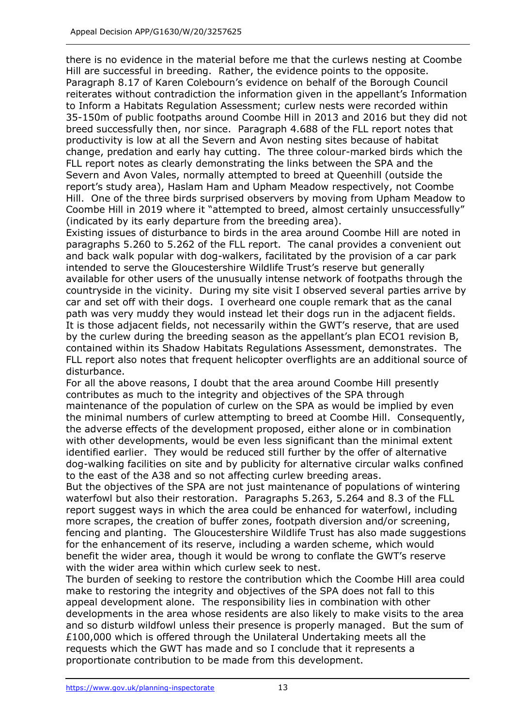there is no evidence in the material before me that the curlews nesting at Coombe Hill are successful in breeding. Rather, the evidence points to the opposite. Paragraph 8.17 of Karen Colebourn's evidence on behalf of the Borough Council reiterates without contradiction the information given in the appellant's Information to Inform a Habitats Regulation Assessment; curlew nests were recorded within 35-150m of public footpaths around Coombe Hill in 2013 and 2016 but they did not breed successfully then, nor since. Paragraph 4.688 of the FLL report notes that productivity is low at all the Severn and Avon nesting sites because of habitat change, predation and early hay cutting. The three colour-marked birds which the FLL report notes as clearly demonstrating the links between the SPA and the Severn and Avon Vales, normally attempted to breed at Queenhill (outside the report's study area), Haslam Ham and Upham Meadow respectively, not Coombe Hill. One of the three birds surprised observers by moving from Upham Meadow to Coombe Hill in 2019 where it "attempted to breed, almost certainly unsuccessfully" (indicated by its early departure from the breeding area).

Existing issues of disturbance to birds in the area around Coombe Hill are noted in paragraphs 5.260 to 5.262 of the FLL report. The canal provides a convenient out and back walk popular with dog-walkers, facilitated by the provision of a car park intended to serve the Gloucestershire Wildlife Trust's reserve but generally available for other users of the unusually intense network of footpaths through the countryside in the vicinity. During my site visit I observed several parties arrive by car and set off with their dogs. I overheard one couple remark that as the canal path was very muddy they would instead let their dogs run in the adjacent fields. It is those adjacent fields, not necessarily within the GWT's reserve, that are used by the curlew during the breeding season as the appellant's plan ECO1 revision B, contained within its Shadow Habitats Regulations Assessment, demonstrates. The FLL report also notes that frequent helicopter overflights are an additional source of disturbance.

For all the above reasons, I doubt that the area around Coombe Hill presently contributes as much to the integrity and objectives of the SPA through maintenance of the population of curlew on the SPA as would be implied by even the minimal numbers of curlew attempting to breed at Coombe Hill. Consequently, the adverse effects of the development proposed, either alone or in combination with other developments, would be even less significant than the minimal extent identified earlier. They would be reduced still further by the offer of alternative dog-walking facilities on site and by publicity for alternative circular walks confined to the east of the A38 and so not affecting curlew breeding areas.

But the objectives of the SPA are not just maintenance of populations of wintering waterfowl but also their restoration. Paragraphs 5.263, 5.264 and 8.3 of the FLL report suggest ways in which the area could be enhanced for waterfowl, including more scrapes, the creation of buffer zones, footpath diversion and/or screening, fencing and planting. The Gloucestershire Wildlife Trust has also made suggestions for the enhancement of its reserve, including a warden scheme, which would benefit the wider area, though it would be wrong to conflate the GWT's reserve with the wider area within which curlew seek to nest.

The burden of seeking to restore the contribution which the Coombe Hill area could make to restoring the integrity and objectives of the SPA does not fall to this appeal development alone. The responsibility lies in combination with other developments in the area whose residents are also likely to make visits to the area and so disturb wildfowl unless their presence is properly managed. But the sum of £100,000 which is offered through the Unilateral Undertaking meets all the requests which the GWT has made and so I conclude that it represents a proportionate contribution to be made from this development.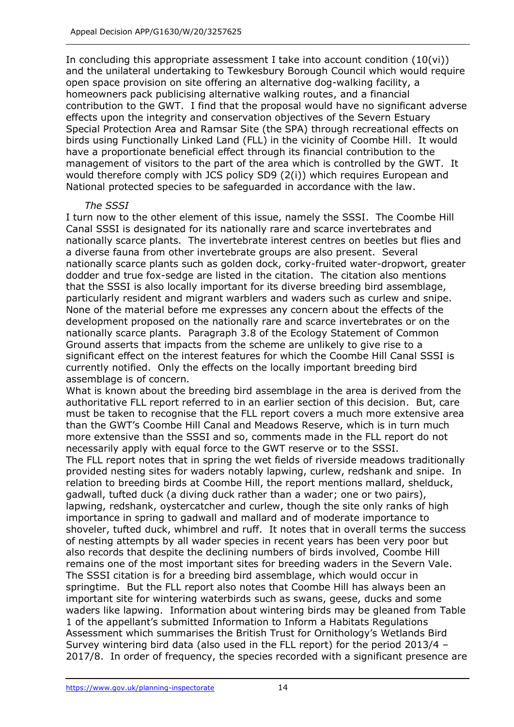In concluding this appropriate assessment I take into account condition (10(vi)) and the unilateral undertaking to Tewkesbury Borough Council which would require open space provision on site offering an alternative dog-walking facility, a homeowners pack publicising alternative walking routes, and a financial contribution to the GWT. I find that the proposal would have no significant adverse effects upon the integrity and conservation objectives of the Severn Estuary Special Protection Area and Ramsar Site (the SPA) through recreational effects on birds using Functionally Linked Land (FLL) in the vicinity of Coombe Hill. It would have a proportionate beneficial effect through its financial contribution to the management of visitors to the part of the area which is controlled by the GWT. It would therefore comply with JCS policy SD9 (2(i)) which requires European and National protected species to be safeguarded in accordance with the law.

#### *The SSSI*

I turn now to the other element of this issue, namely the SSSI. The Coombe Hill Canal SSSI is designated for its nationally rare and scarce invertebrates and nationally scarce plants. The invertebrate interest centres on beetles but flies and a diverse fauna from other invertebrate groups are also present. Several nationally scarce plants such as golden dock, corky-fruited water-dropwort, greater dodder and true fox-sedge are listed in the citation. The citation also mentions that the SSSI is also locally important for its diverse breeding bird assemblage, particularly resident and migrant warblers and waders such as curlew and snipe. None of the material before me expresses any concern about the effects of the development proposed on the nationally rare and scarce invertebrates or on the nationally scarce plants. Paragraph 3.8 of the Ecology Statement of Common Ground asserts that impacts from the scheme are unlikely to give rise to a significant effect on the interest features for which the Coombe Hill Canal SSSI is currently notified. Only the effects on the locally important breeding bird assemblage is of concern.

What is known about the breeding bird assemblage in the area is derived from the authoritative FLL report referred to in an earlier section of this decision. But, care must be taken to recognise that the FLL report covers a much more extensive area than the GWT's Coombe Hill Canal and Meadows Reserve, which is in turn much more extensive than the SSSI and so, comments made in the FLL report do not necessarily apply with equal force to the GWT reserve or to the SSSI.

The FLL report notes that in spring the wet fields of riverside meadows traditionally provided nesting sites for waders notably lapwing, curlew, redshank and snipe. In relation to breeding birds at Coombe Hill, the report mentions mallard, shelduck, gadwall, tufted duck (a diving duck rather than a wader; one or two pairs), lapwing, redshank, oystercatcher and curlew, though the site only ranks of high importance in spring to gadwall and mallard and of moderate importance to shoveler, tufted duck, whimbrel and ruff. It notes that in overall terms the success of nesting attempts by all wader species in recent years has been very poor but also records that despite the declining numbers of birds involved, Coombe Hill remains one of the most important sites for breeding waders in the Severn Vale. The SSSI citation is for a breeding bird assemblage, which would occur in springtime. But the FLL report also notes that Coombe Hill has always been an important site for wintering waterbirds such as swans, geese, ducks and some waders like lapwing. Information about wintering birds may be gleaned from Table 1 of the appellant's submitted Information to Inform a Habitats Regulations Assessment which summarises the British Trust for Ornithology's Wetlands Bird Survey wintering bird data (also used in the FLL report) for the period 2013/4 – 2017/8. In order of frequency, the species recorded with a significant presence are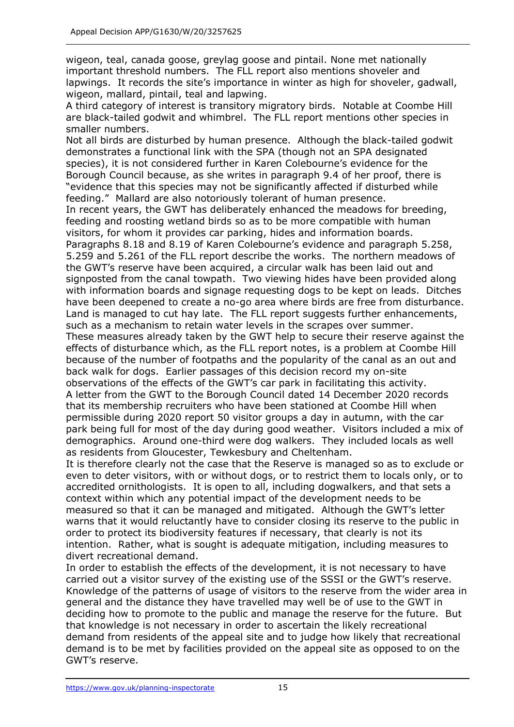wigeon, teal, canada goose, greylag goose and pintail. None met nationally important threshold numbers. The FLL report also mentions shoveler and lapwings. It records the site's importance in winter as high for shoveler, gadwall, wigeon, mallard, pintail, teal and lapwing.

A third category of interest is transitory migratory birds. Notable at Coombe Hill are black-tailed godwit and whimbrel. The FLL report mentions other species in smaller numbers.

Not all birds are disturbed by human presence. Although the black-tailed godwit demonstrates a functional link with the SPA (though not an SPA designated species), it is not considered further in Karen Colebourne's evidence for the Borough Council because, as she writes in paragraph 9.4 of her proof, there is "evidence that this species may not be significantly affected if disturbed while feeding." Mallard are also notoriously tolerant of human presence.

In recent years, the GWT has deliberately enhanced the meadows for breeding, feeding and roosting wetland birds so as to be more compatible with human visitors, for whom it provides car parking, hides and information boards.

Paragraphs 8.18 and 8.19 of Karen Colebourne's evidence and paragraph 5.258, 5.259 and 5.261 of the FLL report describe the works. The northern meadows of the GWT's reserve have been acquired, a circular walk has been laid out and signposted from the canal towpath. Two viewing hides have been provided along with information boards and signage requesting dogs to be kept on leads. Ditches have been deepened to create a no-go area where birds are free from disturbance. Land is managed to cut hay late. The FLL report suggests further enhancements, such as a mechanism to retain water levels in the scrapes over summer.

These measures already taken by the GWT help to secure their reserve against the effects of disturbance which, as the FLL report notes, is a problem at Coombe Hill because of the number of footpaths and the popularity of the canal as an out and back walk for dogs. Earlier passages of this decision record my on-site observations of the effects of the GWT's car park in facilitating this activity. A letter from the GWT to the Borough Council dated 14 December 2020 records

that its membership recruiters who have been stationed at Coombe Hill when permissible during 2020 report 50 visitor groups a day in autumn, with the car park being full for most of the day during good weather. Visitors included a mix of demographics. Around one-third were dog walkers. They included locals as well as residents from Gloucester, Tewkesbury and Cheltenham.

It is therefore clearly not the case that the Reserve is managed so as to exclude or even to deter visitors, with or without dogs, or to restrict them to locals only, or to accredited ornithologists. It is open to all, including dogwalkers, and that sets a context within which any potential impact of the development needs to be measured so that it can be managed and mitigated. Although the GWT's letter warns that it would reluctantly have to consider closing its reserve to the public in order to protect its biodiversity features if necessary, that clearly is not its intention. Rather, what is sought is adequate mitigation, including measures to divert recreational demand.

In order to establish the effects of the development, it is not necessary to have carried out a visitor survey of the existing use of the SSSI or the GWT's reserve. Knowledge of the patterns of usage of visitors to the reserve from the wider area in general and the distance they have travelled may well be of use to the GWT in deciding how to promote to the public and manage the reserve for the future. But that knowledge is not necessary in order to ascertain the likely recreational demand from residents of the appeal site and to judge how likely that recreational demand is to be met by facilities provided on the appeal site as opposed to on the GWT's reserve.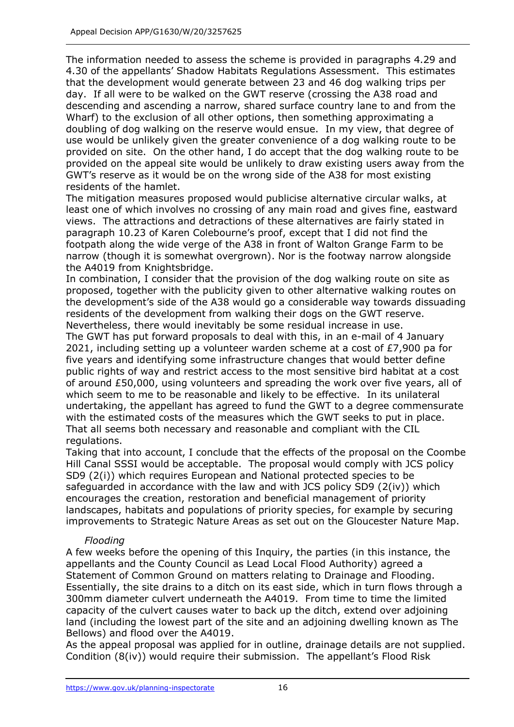The information needed to assess the scheme is provided in paragraphs 4.29 and 4.30 of the appellants' Shadow Habitats Regulations Assessment. This estimates that the development would generate between 23 and 46 dog walking trips per day. If all were to be walked on the GWT reserve (crossing the A38 road and descending and ascending a narrow, shared surface country lane to and from the Wharf) to the exclusion of all other options, then something approximating a doubling of dog walking on the reserve would ensue. In my view, that degree of use would be unlikely given the greater convenience of a dog walking route to be provided on site. On the other hand, I do accept that the dog walking route to be provided on the appeal site would be unlikely to draw existing users away from the GWT's reserve as it would be on the wrong side of the A38 for most existing residents of the hamlet.

The mitigation measures proposed would publicise alternative circular walks, at least one of which involves no crossing of any main road and gives fine, eastward views. The attractions and detractions of these alternatives are fairly stated in paragraph 10.23 of Karen Colebourne's proof, except that I did not find the footpath along the wide verge of the A38 in front of Walton Grange Farm to be narrow (though it is somewhat overgrown). Nor is the footway narrow alongside the A4019 from Knightsbridge.

In combination, I consider that the provision of the dog walking route on site as proposed, together with the publicity given to other alternative walking routes on the development's side of the A38 would go a considerable way towards dissuading residents of the development from walking their dogs on the GWT reserve. Nevertheless, there would inevitably be some residual increase in use.

The GWT has put forward proposals to deal with this, in an e-mail of 4 January 2021, including setting up a volunteer warden scheme at a cost of £7,900 pa for five years and identifying some infrastructure changes that would better define public rights of way and restrict access to the most sensitive bird habitat at a cost of around £50,000, using volunteers and spreading the work over five years, all of which seem to me to be reasonable and likely to be effective. In its unilateral undertaking, the appellant has agreed to fund the GWT to a degree commensurate with the estimated costs of the measures which the GWT seeks to put in place. That all seems both necessary and reasonable and compliant with the CIL regulations.

Taking that into account, I conclude that the effects of the proposal on the Coombe Hill Canal SSSI would be acceptable. The proposal would comply with JCS policy SD9 (2(i)) which requires European and National protected species to be safeguarded in accordance with the law and with JCS policy SD9 (2(iv)) which encourages the creation, restoration and beneficial management of priority landscapes, habitats and populations of priority species, for example by securing improvements to Strategic Nature Areas as set out on the Gloucester Nature Map.

## *Flooding*

A few weeks before the opening of this Inquiry, the parties (in this instance, the appellants and the County Council as Lead Local Flood Authority) agreed a Statement of Common Ground on matters relating to Drainage and Flooding. Essentially, the site drains to a ditch on its east side, which in turn flows through a 300mm diameter culvert underneath the A4019. From time to time the limited capacity of the culvert causes water to back up the ditch, extend over adjoining land (including the lowest part of the site and an adjoining dwelling known as The Bellows) and flood over the A4019.

As the appeal proposal was applied for in outline, drainage details are not supplied. Condition (8(iv)) would require their submission. The appellant's Flood Risk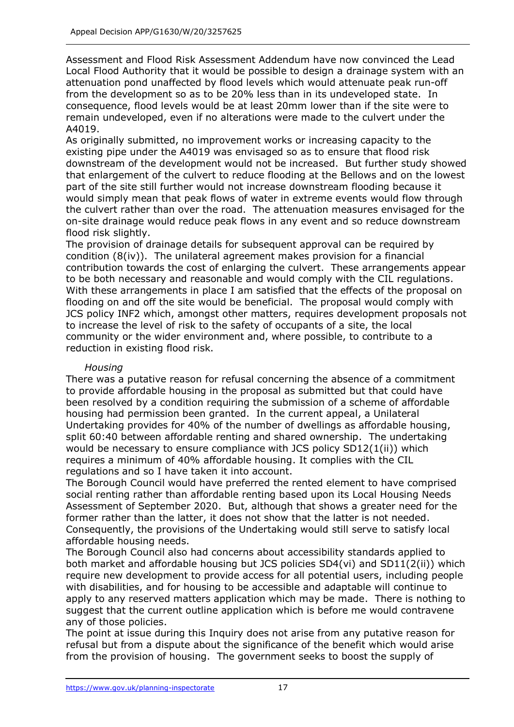Assessment and Flood Risk Assessment Addendum have now convinced the Lead Local Flood Authority that it would be possible to design a drainage system with an attenuation pond unaffected by flood levels which would attenuate peak run-off from the development so as to be 20% less than in its undeveloped state. In consequence, flood levels would be at least 20mm lower than if the site were to remain undeveloped, even if no alterations were made to the culvert under the A4019.

As originally submitted, no improvement works or increasing capacity to the existing pipe under the A4019 was envisaged so as to ensure that flood risk downstream of the development would not be increased. But further study showed that enlargement of the culvert to reduce flooding at the Bellows and on the lowest part of the site still further would not increase downstream flooding because it would simply mean that peak flows of water in extreme events would flow through the culvert rather than over the road. The attenuation measures envisaged for the on-site drainage would reduce peak flows in any event and so reduce downstream flood risk slightly.

The provision of drainage details for subsequent approval can be required by condition (8(iv)). The unilateral agreement makes provision for a financial contribution towards the cost of enlarging the culvert. These arrangements appear to be both necessary and reasonable and would comply with the CIL regulations. With these arrangements in place I am satisfied that the effects of the proposal on flooding on and off the site would be beneficial. The proposal would comply with JCS policy INF2 which, amongst other matters, requires development proposals not to increase the level of risk to the safety of occupants of a site, the local community or the wider environment and, where possible, to contribute to a reduction in existing flood risk.

## *Housing*

There was a putative reason for refusal concerning the absence of a commitment to provide affordable housing in the proposal as submitted but that could have been resolved by a condition requiring the submission of a scheme of affordable housing had permission been granted. In the current appeal, a Unilateral Undertaking provides for 40% of the number of dwellings as affordable housing, split 60:40 between affordable renting and shared ownership. The undertaking would be necessary to ensure compliance with JCS policy SD12(1(ii)) which requires a minimum of 40% affordable housing. It complies with the CIL regulations and so I have taken it into account.

The Borough Council would have preferred the rented element to have comprised social renting rather than affordable renting based upon its Local Housing Needs Assessment of September 2020. But, although that shows a greater need for the former rather than the latter, it does not show that the latter is not needed. Consequently, the provisions of the Undertaking would still serve to satisfy local affordable housing needs.

The Borough Council also had concerns about accessibility standards applied to both market and affordable housing but JCS policies SD4(vi) and SD11(2(ii)) which require new development to provide access for all potential users, including people with disabilities, and for housing to be accessible and adaptable will continue to apply to any reserved matters application which may be made. There is nothing to suggest that the current outline application which is before me would contravene any of those policies.

The point at issue during this Inquiry does not arise from any putative reason for refusal but from a dispute about the significance of the benefit which would arise from the provision of housing. The government seeks to boost the supply of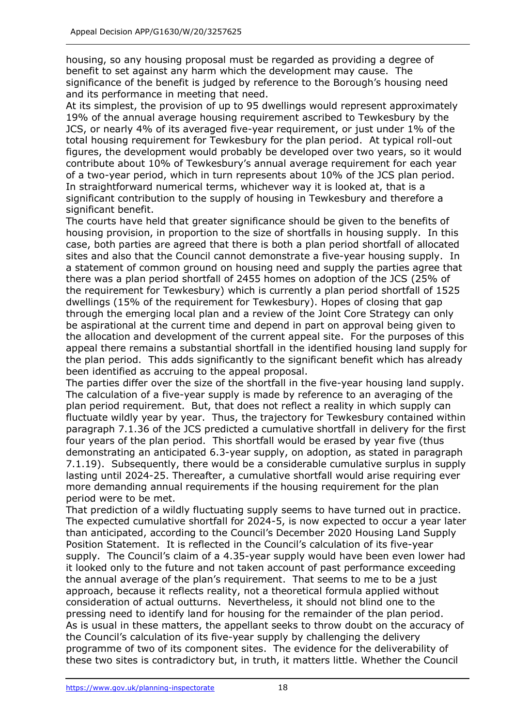housing, so any housing proposal must be regarded as providing a degree of benefit to set against any harm which the development may cause. The significance of the benefit is judged by reference to the Borough's housing need and its performance in meeting that need.

At its simplest, the provision of up to 95 dwellings would represent approximately 19% of the annual average housing requirement ascribed to Tewkesbury by the JCS, or nearly 4% of its averaged five-year requirement, or just under 1% of the total housing requirement for Tewkesbury for the plan period. At typical roll-out figures, the development would probably be developed over two years, so it would contribute about 10% of Tewkesbury's annual average requirement for each year of a two-year period, which in turn represents about 10% of the JCS plan period. In straightforward numerical terms, whichever way it is looked at, that is a significant contribution to the supply of housing in Tewkesbury and therefore a significant benefit.

The courts have held that greater significance should be given to the benefits of housing provision, in proportion to the size of shortfalls in housing supply. In this case, both parties are agreed that there is both a plan period shortfall of allocated sites and also that the Council cannot demonstrate a five-year housing supply. In a statement of common ground on housing need and supply the parties agree that there was a plan period shortfall of 2455 homes on adoption of the JCS (25% of the requirement for Tewkesbury) which is currently a plan period shortfall of 1525 dwellings (15% of the requirement for Tewkesbury). Hopes of closing that gap through the emerging local plan and a review of the Joint Core Strategy can only be aspirational at the current time and depend in part on approval being given to the allocation and development of the current appeal site. For the purposes of this appeal there remains a substantial shortfall in the identified housing land supply for the plan period. This adds significantly to the significant benefit which has already been identified as accruing to the appeal proposal.

The parties differ over the size of the shortfall in the five-year housing land supply. The calculation of a five-year supply is made by reference to an averaging of the plan period requirement. But, that does not reflect a reality in which supply can fluctuate wildly year by year. Thus, the trajectory for Tewkesbury contained within paragraph 7.1.36 of the JCS predicted a cumulative shortfall in delivery for the first four years of the plan period. This shortfall would be erased by year five (thus demonstrating an anticipated 6.3-year supply, on adoption, as stated in paragraph 7.1.19). Subsequently, there would be a considerable cumulative surplus in supply lasting until 2024-25. Thereafter, a cumulative shortfall would arise requiring ever more demanding annual requirements if the housing requirement for the plan period were to be met.

That prediction of a wildly fluctuating supply seems to have turned out in practice. The expected cumulative shortfall for 2024-5, is now expected to occur a year later than anticipated, according to the Council's December 2020 Housing Land Supply Position Statement. It is reflected in the Council's calculation of its five-year supply. The Council's claim of a 4.35-year supply would have been even lower had it looked only to the future and not taken account of past performance exceeding the annual average of the plan's requirement. That seems to me to be a just approach, because it reflects reality, not a theoretical formula applied without consideration of actual outturns. Nevertheless, it should not blind one to the pressing need to identify land for housing for the remainder of the plan period. As is usual in these matters, the appellant seeks to throw doubt on the accuracy of the Council's calculation of its five-year supply by challenging the delivery programme of two of its component sites. The evidence for the deliverability of these two sites is contradictory but, in truth, it matters little. Whether the Council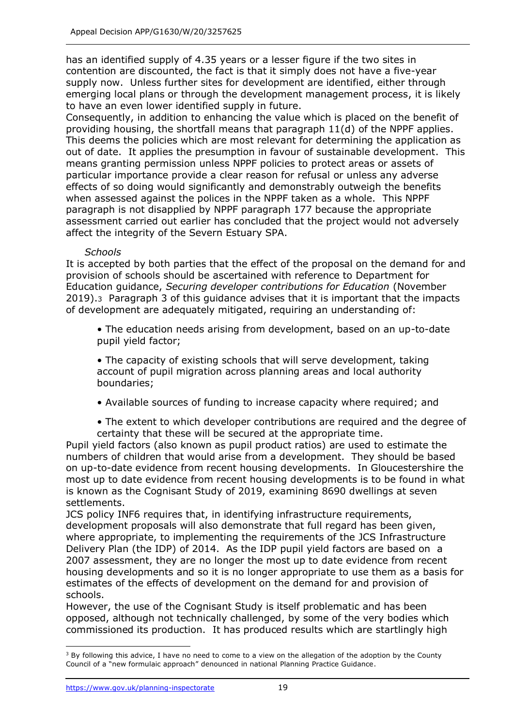has an identified supply of 4.35 years or a lesser figure if the two sites in contention are discounted, the fact is that it simply does not have a five-year supply now. Unless further sites for development are identified, either through emerging local plans or through the development management process, it is likely to have an even lower identified supply in future.

Consequently, in addition to enhancing the value which is placed on the benefit of providing housing, the shortfall means that paragraph 11(d) of the NPPF applies. This deems the policies which are most relevant for determining the application as out of date. It applies the presumption in favour of sustainable development. This means granting permission unless NPPF policies to protect areas or assets of particular importance provide a clear reason for refusal or unless any adverse effects of so doing would significantly and demonstrably outweigh the benefits when assessed against the polices in the NPPF taken as a whole. This NPPF paragraph is not disapplied by NPPF paragraph 177 because the appropriate assessment carried out earlier has concluded that the project would not adversely affect the integrity of the Severn Estuary SPA.

## *Schools*

It is accepted by both parties that the effect of the proposal on the demand for and provision of schools should be ascertained with reference to Department for Education guidance, *Securing developer contributions for Education* (November 2019).3 Paragraph 3 of this guidance advises that it is important that the impacts of development are adequately mitigated, requiring an understanding of:

• The education needs arising from development, based on an up-to-date pupil yield factor;

• The capacity of existing schools that will serve development, taking account of pupil migration across planning areas and local authority boundaries;

- Available sources of funding to increase capacity where required; and
- The extent to which developer contributions are required and the degree of certainty that these will be secured at the appropriate time.

Pupil yield factors (also known as pupil product ratios) are used to estimate the numbers of children that would arise from a development. They should be based on up-to-date evidence from recent housing developments. In Gloucestershire the most up to date evidence from recent housing developments is to be found in what is known as the Cognisant Study of 2019, examining 8690 dwellings at seven settlements.

JCS policy INF6 requires that, in identifying infrastructure requirements, development proposals will also demonstrate that full regard has been given, where appropriate, to implementing the requirements of the JCS Infrastructure Delivery Plan (the IDP) of 2014. As the IDP pupil yield factors are based on a 2007 assessment, they are no longer the most up to date evidence from recent housing developments and so it is no longer appropriate to use them as a basis for estimates of the effects of development on the demand for and provision of schools.

However, the use of the Cognisant Study is itself problematic and has been opposed, although not technically challenged, by some of the very bodies which commissioned its production. It has produced results which are startlingly high

 $3$  By following this advice, I have no need to come to a view on the allegation of the adoption by the County Council of a "new formulaic approach" denounced in national Planning Practice Guidance.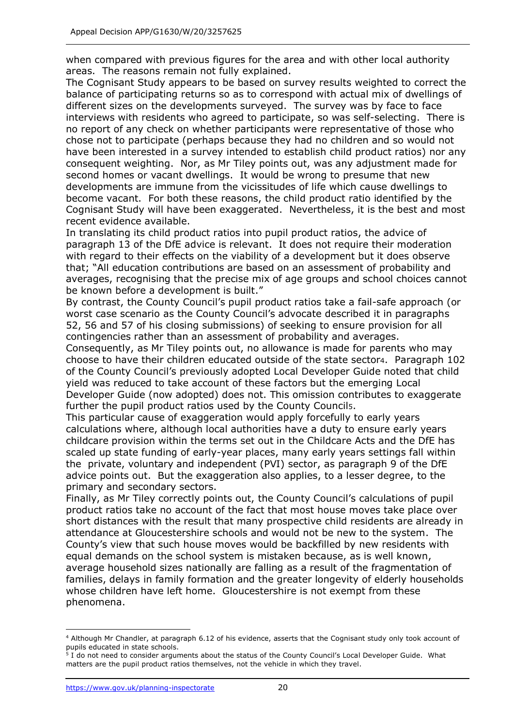when compared with previous figures for the area and with other local authority areas. The reasons remain not fully explained.

The Cognisant Study appears to be based on survey results weighted to correct the balance of participating returns so as to correspond with actual mix of dwellings of different sizes on the developments surveyed. The survey was by face to face interviews with residents who agreed to participate, so was self-selecting. There is no report of any check on whether participants were representative of those who chose not to participate (perhaps because they had no children and so would not have been interested in a survey intended to establish child product ratios) nor any consequent weighting. Nor, as Mr Tiley points out, was any adjustment made for second homes or vacant dwellings. It would be wrong to presume that new developments are immune from the vicissitudes of life which cause dwellings to become vacant. For both these reasons, the child product ratio identified by the Cognisant Study will have been exaggerated. Nevertheless, it is the best and most recent evidence available.

In translating its child product ratios into pupil product ratios, the advice of paragraph 13 of the DfE advice is relevant. It does not require their moderation with regard to their effects on the viability of a development but it does observe that; "All education contributions are based on an assessment of probability and averages, recognising that the precise mix of age groups and school choices cannot be known before a development is built."

By contrast, the County Council's pupil product ratios take a fail-safe approach (or worst case scenario as the County Council's advocate described it in paragraphs 52, 56 and 57 of his closing submissions) of seeking to ensure provision for all contingencies rather than an assessment of probability and averages.

Consequently, as Mr Tiley points out, no allowance is made for parents who may choose to have their children educated outside of the state sector4. Paragraph 102 of the County Council's previously adopted Local Developer Guide noted that child yield was reduced to take account of these factors but the emerging Local Developer Guide (now adopted) does not. This omission contributes to exaggerate further the pupil product ratios used by the County Council5.

This particular cause of exaggeration would apply forcefully to early years calculations where, although local authorities have a duty to ensure early years childcare provision within the terms set out in the Childcare Acts and the DfE has scaled up state funding of early-year places, many early years settings fall within the private, voluntary and independent (PVI) sector, as paragraph 9 of the DfE advice points out. But the exaggeration also applies, to a lesser degree, to the primary and secondary sectors.

Finally, as Mr Tiley correctly points out, the County Council's calculations of pupil product ratios take no account of the fact that most house moves take place over short distances with the result that many prospective child residents are already in attendance at Gloucestershire schools and would not be new to the system. The County's view that such house moves would be backfilled by new residents with equal demands on the school system is mistaken because, as is well known, average household sizes nationally are falling as a result of the fragmentation of families, delays in family formation and the greater longevity of elderly households whose children have left home. Gloucestershire is not exempt from these phenomena.

<sup>4</sup> Although Mr Chandler, at paragraph 6.12 of his evidence, asserts that the Cognisant study only took account of pupils educated in state schools.<br><sup>5</sup> J do not nood to consider argue

I do not need to consider arguments about the status of the County Council's Local Developer Guide. What matters are the pupil product ratios themselves, not the vehicle in which they travel.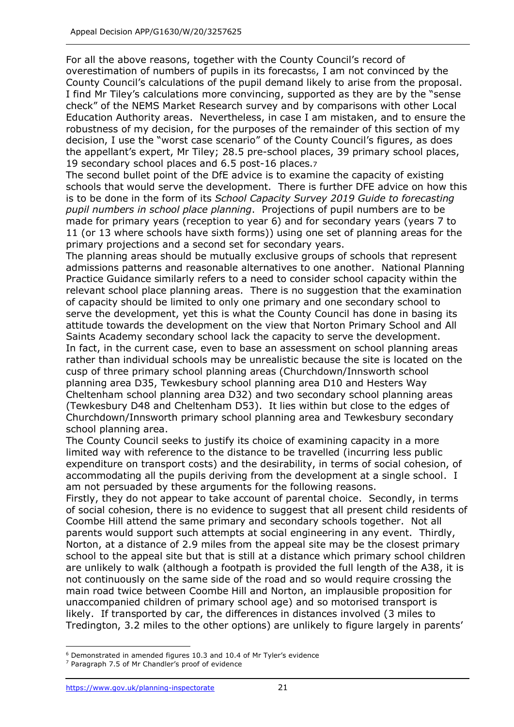For all the above reasons, together with the County Council's record of overestimation of numbers of pupils in its forecasts6, I am not convinced by the County Council's calculations of the pupil demand likely to arise from the proposal. I find Mr Tiley's calculations more convincing, supported as they are by the "sense check" of the NEMS Market Research survey and by comparisons with other Local Education Authority areas. Nevertheless, in case I am mistaken, and to ensure the robustness of my decision, for the purposes of the remainder of this section of my decision, I use the "worst case scenario" of the County Council's figures, as does the appellant's expert, Mr Tiley; 28.5 pre-school places, 39 primary school places, 19 secondary school places and 6.5 post-16 places.7

The second bullet point of the DfE advice is to examine the capacity of existing schools that would serve the development. There is further DFE advice on how this is to be done in the form of its *School Capacity Survey 2019 Guide to forecasting pupil numbers in school place planning*. Projections of pupil numbers are to be made for primary years (reception to year 6) and for secondary years (years 7 to 11 (or 13 where schools have sixth forms)) using one set of planning areas for the primary projections and a second set for secondary years.

The planning areas should be mutually exclusive groups of schools that represent admissions patterns and reasonable alternatives to one another. National Planning Practice Guidance similarly refers to a need to consider school capacity within the relevant school place planning areas. There is no suggestion that the examination of capacity should be limited to only one primary and one secondary school to serve the development, yet this is what the County Council has done in basing its attitude towards the development on the view that Norton Primary School and All Saints Academy secondary school lack the capacity to serve the development. In fact, in the current case, even to base an assessment on school planning areas rather than individual schools may be unrealistic because the site is located on the cusp of three primary school planning areas (Churchdown/Innsworth school planning area D35, Tewkesbury school planning area D10 and Hesters Way Cheltenham school planning area D32) and two secondary school planning areas (Tewkesbury D48 and Cheltenham D53). It lies within but close to the edges of Churchdown/Innsworth primary school planning area and Tewkesbury secondary school planning area.

The County Council seeks to justify its choice of examining capacity in a more limited way with reference to the distance to be travelled (incurring less public expenditure on transport costs) and the desirability, in terms of social cohesion, of accommodating all the pupils deriving from the development at a single school. I am not persuaded by these arguments for the following reasons.

Firstly, they do not appear to take account of parental choice. Secondly, in terms of social cohesion, there is no evidence to suggest that all present child residents of Coombe Hill attend the same primary and secondary schools together. Not all parents would support such attempts at social engineering in any event. Thirdly, Norton, at a distance of 2.9 miles from the appeal site may be the closest primary school to the appeal site but that is still at a distance which primary school children are unlikely to walk (although a footpath is provided the full length of the A38, it is not continuously on the same side of the road and so would require crossing the main road twice between Coombe Hill and Norton, an implausible proposition for unaccompanied children of primary school age) and so motorised transport is likely. If transported by car, the differences in distances involved (3 miles to Tredington, 3.2 miles to the other options) are unlikely to figure largely in parents'

<sup>6</sup> Demonstrated in amended figures 10.3 and 10.4 of Mr Tyler's evidence

Paragraph 7.5 of Mr Chandler's proof of evidence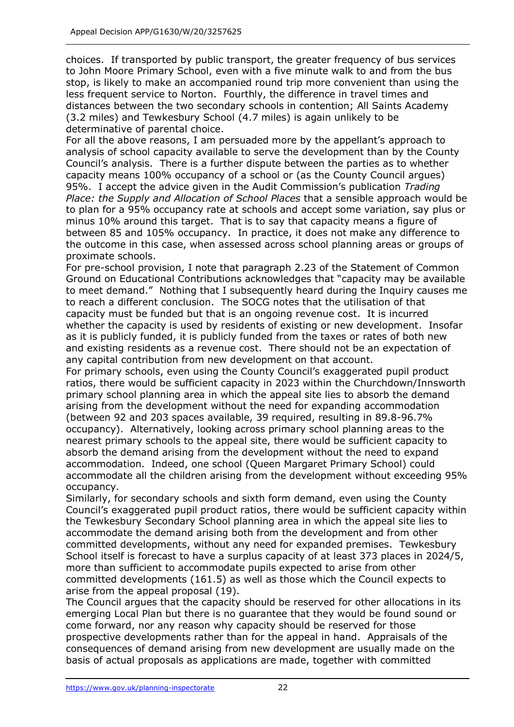choices. If transported by public transport, the greater frequency of bus services to John Moore Primary School, even with a five minute walk to and from the bus stop, is likely to make an accompanied round trip more convenient than using the less frequent service to Norton. Fourthly, the difference in travel times and distances between the two secondary schools in contention; All Saints Academy (3.2 miles) and Tewkesbury School (4.7 miles) is again unlikely to be determinative of parental choice.

For all the above reasons, I am persuaded more by the appellant's approach to analysis of school capacity available to serve the development than by the County Council's analysis. There is a further dispute between the parties as to whether capacity means 100% occupancy of a school or (as the County Council argues) 95%. I accept the advice given in the Audit Commission's publication *Trading Place: the Supply and Allocation of School Places* that a sensible approach would be to plan for a 95% occupancy rate at schools and accept some variation, say plus or minus 10% around this target. That is to say that capacity means a figure of between 85 and 105% occupancy. In practice, it does not make any difference to the outcome in this case, when assessed across school planning areas or groups of proximate schools.

For pre-school provision, I note that paragraph 2.23 of the Statement of Common Ground on Educational Contributions acknowledges that "capacity may be available to meet demand." Nothing that I subsequently heard during the Inquiry causes me to reach a different conclusion. The SOCG notes that the utilisation of that capacity must be funded but that is an ongoing revenue cost. It is incurred whether the capacity is used by residents of existing or new development. Insofar as it is publicly funded, it is publicly funded from the taxes or rates of both new and existing residents as a revenue cost. There should not be an expectation of any capital contribution from new development on that account.

For primary schools, even using the County Council's exaggerated pupil product ratios, there would be sufficient capacity in 2023 within the Churchdown/Innsworth primary school planning area in which the appeal site lies to absorb the demand arising from the development without the need for expanding accommodation (between 92 and 203 spaces available, 39 required, resulting in 89.8-96.7% occupancy). Alternatively, looking across primary school planning areas to the nearest primary schools to the appeal site, there would be sufficient capacity to absorb the demand arising from the development without the need to expand accommodation. Indeed, one school (Queen Margaret Primary School) could accommodate all the children arising from the development without exceeding 95% occupancy.

Similarly, for secondary schools and sixth form demand, even using the County Council's exaggerated pupil product ratios, there would be sufficient capacity within the Tewkesbury Secondary School planning area in which the appeal site lies to accommodate the demand arising both from the development and from other committed developments, without any need for expanded premises. Tewkesbury School itself is forecast to have a surplus capacity of at least 373 places in 2024/5, more than sufficient to accommodate pupils expected to arise from other committed developments (161.5) as well as those which the Council expects to arise from the appeal proposal (19).

The Council argues that the capacity should be reserved for other allocations in its emerging Local Plan but there is no guarantee that they would be found sound or come forward, nor any reason why capacity should be reserved for those prospective developments rather than for the appeal in hand. Appraisals of the consequences of demand arising from new development are usually made on the basis of actual proposals as applications are made, together with committed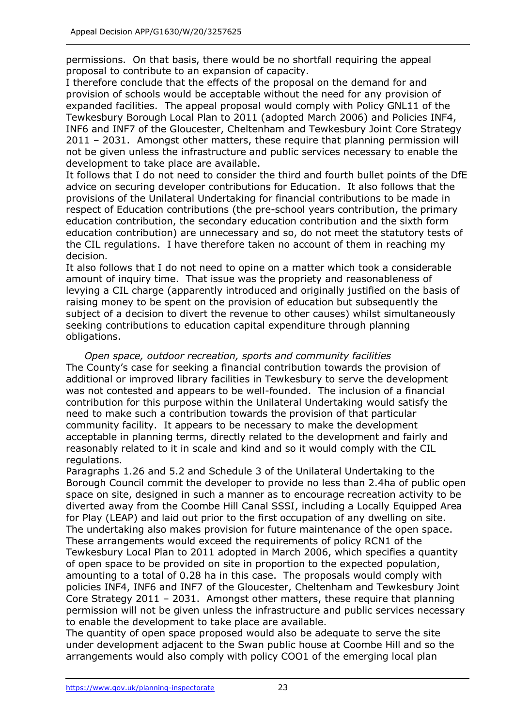permissions. On that basis, there would be no shortfall requiring the appeal proposal to contribute to an expansion of capacity.

I therefore conclude that the effects of the proposal on the demand for and provision of schools would be acceptable without the need for any provision of expanded facilities. The appeal proposal would comply with Policy GNL11 of the Tewkesbury Borough Local Plan to 2011 (adopted March 2006) and Policies INF4, INF6 and INF7 of the Gloucester, Cheltenham and Tewkesbury Joint Core Strategy 2011 – 2031. Amongst other matters, these require that planning permission will not be given unless the infrastructure and public services necessary to enable the development to take place are available.

It follows that I do not need to consider the third and fourth bullet points of the DfE advice on securing developer contributions for Education. It also follows that the provisions of the Unilateral Undertaking for financial contributions to be made in respect of Education contributions (the pre-school years contribution, the primary education contribution, the secondary education contribution and the sixth form education contribution) are unnecessary and so, do not meet the statutory tests of the CIL regulations. I have therefore taken no account of them in reaching my decision.

It also follows that I do not need to opine on a matter which took a considerable amount of inquiry time. That issue was the propriety and reasonableness of levying a CIL charge (apparently introduced and originally justified on the basis of raising money to be spent on the provision of education but subsequently the subject of a decision to divert the revenue to other causes) whilst simultaneously seeking contributions to education capital expenditure through planning obligations.

*Open space, outdoor recreation, sports and community facilities* The County's case for seeking a financial contribution towards the provision of additional or improved library facilities in Tewkesbury to serve the development was not contested and appears to be well-founded. The inclusion of a financial contribution for this purpose within the Unilateral Undertaking would satisfy the need to make such a contribution towards the provision of that particular community facility. It appears to be necessary to make the development acceptable in planning terms, directly related to the development and fairly and reasonably related to it in scale and kind and so it would comply with the CIL regulations.

Paragraphs 1.26 and 5.2 and Schedule 3 of the Unilateral Undertaking to the Borough Council commit the developer to provide no less than 2.4ha of public open space on site, designed in such a manner as to encourage recreation activity to be diverted away from the Coombe Hill Canal SSSI, including a Locally Equipped Area for Play (LEAP) and laid out prior to the first occupation of any dwelling on site. The undertaking also makes provision for future maintenance of the open space. These arrangements would exceed the requirements of policy RCN1 of the Tewkesbury Local Plan to 2011 adopted in March 2006, which specifies a quantity of open space to be provided on site in proportion to the expected population, amounting to a total of 0.28 ha in this case. The proposals would comply with policies INF4, INF6 and INF7 of the Gloucester, Cheltenham and Tewkesbury Joint Core Strategy 2011 – 2031. Amongst other matters, these require that planning permission will not be given unless the infrastructure and public services necessary to enable the development to take place are available.

The quantity of open space proposed would also be adequate to serve the site under development adjacent to the Swan public house at Coombe Hill and so the arrangements would also comply with policy COO1 of the emerging local plan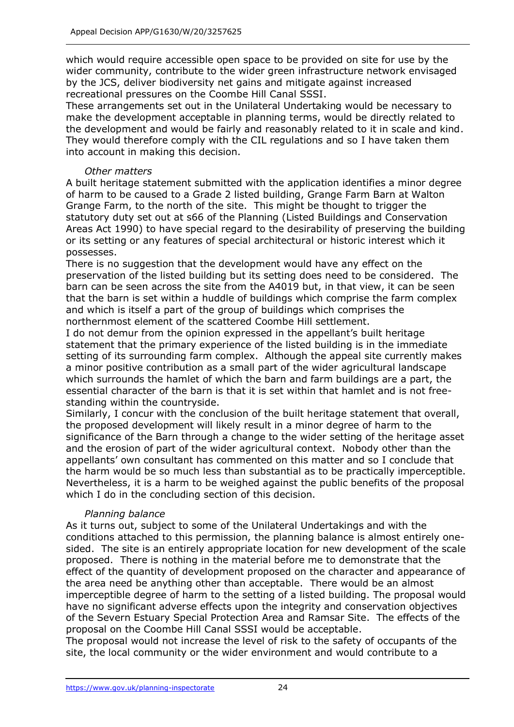which would require accessible open space to be provided on site for use by the wider community, contribute to the wider green infrastructure network envisaged by the JCS, deliver biodiversity net gains and mitigate against increased recreational pressures on the Coombe Hill Canal SSSI.

These arrangements set out in the Unilateral Undertaking would be necessary to make the development acceptable in planning terms, would be directly related to the development and would be fairly and reasonably related to it in scale and kind. They would therefore comply with the CIL regulations and so I have taken them into account in making this decision.

## *Other matters*

A built heritage statement submitted with the application identifies a minor degree of harm to be caused to a Grade 2 listed building, Grange Farm Barn at Walton Grange Farm, to the north of the site. This might be thought to trigger the statutory duty set out at s66 of the Planning (Listed Buildings and Conservation Areas Act 1990) to have special regard to the desirability of preserving the building or its setting or any features of special architectural or historic interest which it possesses.

There is no suggestion that the development would have any effect on the preservation of the listed building but its setting does need to be considered. The barn can be seen across the site from the A4019 but, in that view, it can be seen that the barn is set within a huddle of buildings which comprise the farm complex and which is itself a part of the group of buildings which comprises the northernmost element of the scattered Coombe Hill settlement.

I do not demur from the opinion expressed in the appellant's built heritage statement that the primary experience of the listed building is in the immediate setting of its surrounding farm complex. Although the appeal site currently makes a minor positive contribution as a small part of the wider agricultural landscape which surrounds the hamlet of which the barn and farm buildings are a part, the essential character of the barn is that it is set within that hamlet and is not freestanding within the countryside.

Similarly, I concur with the conclusion of the built heritage statement that overall, the proposed development will likely result in a minor degree of harm to the significance of the Barn through a change to the wider setting of the heritage asset and the erosion of part of the wider agricultural context. Nobody other than the appellants' own consultant has commented on this matter and so I conclude that the harm would be so much less than substantial as to be practically imperceptible. Nevertheless, it is a harm to be weighed against the public benefits of the proposal which I do in the concluding section of this decision.

# *Planning balance*

As it turns out, subject to some of the Unilateral Undertakings and with the conditions attached to this permission, the planning balance is almost entirely onesided. The site is an entirely appropriate location for new development of the scale proposed. There is nothing in the material before me to demonstrate that the effect of the quantity of development proposed on the character and appearance of the area need be anything other than acceptable. There would be an almost imperceptible degree of harm to the setting of a listed building. The proposal would have no significant adverse effects upon the integrity and conservation objectives of the Severn Estuary Special Protection Area and Ramsar Site. The effects of the proposal on the Coombe Hill Canal SSSI would be acceptable.

The proposal would not increase the level of risk to the safety of occupants of the site, the local community or the wider environment and would contribute to a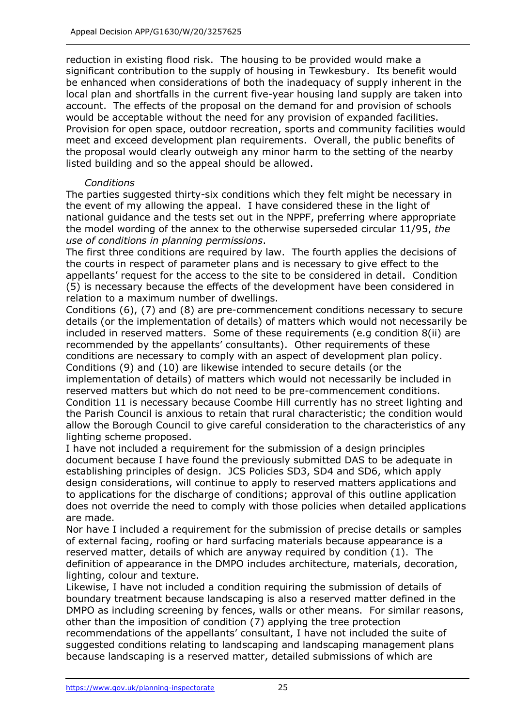reduction in existing flood risk. The housing to be provided would make a significant contribution to the supply of housing in Tewkesbury. Its benefit would be enhanced when considerations of both the inadequacy of supply inherent in the local plan and shortfalls in the current five-year housing land supply are taken into account. The effects of the proposal on the demand for and provision of schools would be acceptable without the need for any provision of expanded facilities. Provision for open space, outdoor recreation, sports and community facilities would meet and exceed development plan requirements. Overall, the public benefits of the proposal would clearly outweigh any minor harm to the setting of the nearby listed building and so the appeal should be allowed.

#### *Conditions*

The parties suggested thirty-six conditions which they felt might be necessary in the event of my allowing the appeal. I have considered these in the light of national guidance and the tests set out in the NPPF, preferring where appropriate the model wording of the annex to the otherwise superseded circular 11/95, *the use of conditions in planning permissions*.

The first three conditions are required by law. The fourth applies the decisions of the courts in respect of parameter plans and is necessary to give effect to the appellants' request for the access to the site to be considered in detail. Condition (5) is necessary because the effects of the development have been considered in relation to a maximum number of dwellings.

Conditions (6), (7) and (8) are pre-commencement conditions necessary to secure details (or the implementation of details) of matters which would not necessarily be included in reserved matters. Some of these requirements (e.g condition 8(ii) are recommended by the appellants' consultants). Other requirements of these conditions are necessary to comply with an aspect of development plan policy. Conditions (9) and (10) are likewise intended to secure details (or the implementation of details) of matters which would not necessarily be included in reserved matters but which do not need to be pre-commencement conditions. Condition 11 is necessary because Coombe Hill currently has no street lighting and the Parish Council is anxious to retain that rural characteristic; the condition would allow the Borough Council to give careful consideration to the characteristics of any lighting scheme proposed.

I have not included a requirement for the submission of a design principles document because I have found the previously submitted DAS to be adequate in establishing principles of design. JCS Policies SD3, SD4 and SD6, which apply design considerations, will continue to apply to reserved matters applications and to applications for the discharge of conditions; approval of this outline application does not override the need to comply with those policies when detailed applications are made.

Nor have I included a requirement for the submission of precise details or samples of external facing, roofing or hard surfacing materials because appearance is a reserved matter, details of which are anyway required by condition (1). The definition of appearance in the DMPO includes architecture, materials, decoration, lighting, colour and texture.

Likewise, I have not included a condition requiring the submission of details of boundary treatment because landscaping is also a reserved matter defined in the DMPO as including screening by fences, walls or other means. For similar reasons, other than the imposition of condition (7) applying the tree protection recommendations of the appellants' consultant, I have not included the suite of suggested conditions relating to landscaping and landscaping management plans because landscaping is a reserved matter, detailed submissions of which are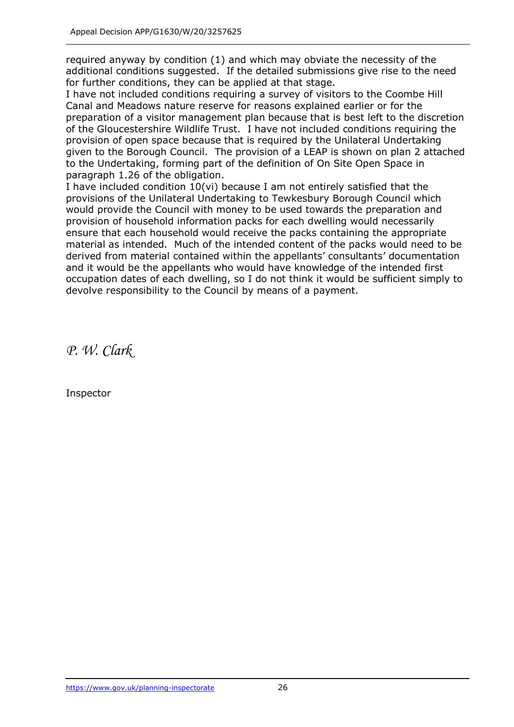required anyway by condition (1) and which may obviate the necessity of the additional conditions suggested. If the detailed submissions give rise to the need for further conditions, they can be applied at that stage.

I have not included conditions requiring a survey of visitors to the Coombe Hill Canal and Meadows nature reserve for reasons explained earlier or for the preparation of a visitor management plan because that is best left to the discretion of the Gloucestershire Wildlife Trust. I have not included conditions requiring the provision of open space because that is required by the Unilateral Undertaking given to the Borough Council. The provision of a LEAP is shown on plan 2 attached to the Undertaking, forming part of the definition of On Site Open Space in paragraph 1.26 of the obligation.

I have included condition 10(vi) because I am not entirely satisfied that the provisions of the Unilateral Undertaking to Tewkesbury Borough Council which would provide the Council with money to be used towards the preparation and provision of household information packs for each dwelling would necessarily ensure that each household would receive the packs containing the appropriate material as intended. Much of the intended content of the packs would need to be derived from material contained within the appellants' consultants' documentation and it would be the appellants who would have knowledge of the intended first occupation dates of each dwelling, so I do not think it would be sufficient simply to devolve responsibility to the Council by means of a payment.

*P. W. Clark*

Inspector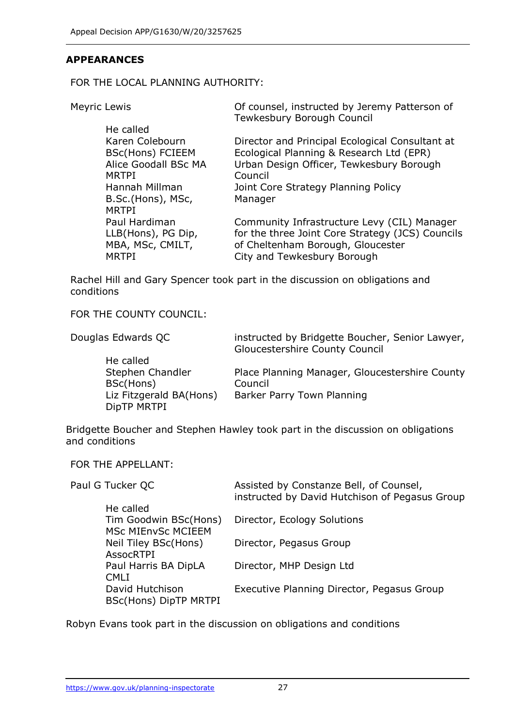## **APPEARANCES**

FOR THE LOCAL PLANNING AUTHORITY:

Meyric Lewis Of counsel, instructed by Jeremy Patterson of

|                         | Tewkesbury Borough Council                       |
|-------------------------|--------------------------------------------------|
| He called               |                                                  |
| Karen Colebourn         | Director and Principal Ecological Consultant at  |
| <b>BSc(Hons) FCIEEM</b> | Ecological Planning & Research Ltd (EPR)         |
| Alice Goodall BSc MA    | Urban Design Officer, Tewkesbury Borough         |
| <b>MRTPI</b>            | Council                                          |
| Hannah Millman          | Joint Core Strategy Planning Policy              |
| B.Sc.(Hons), MSc,       | Manager                                          |
| <b>MRTPI</b>            |                                                  |
| Paul Hardiman           | Community Infrastructure Levy (CIL) Manager      |
| LLB(Hons), PG Dip,      | for the three Joint Core Strategy (JCS) Councils |
| MBA, MSc, CMILT,        | of Cheltenham Borough, Gloucester                |
| <b>MRTPI</b>            | City and Tewkesbury Borough                      |
|                         |                                                  |

Rachel Hill and Gary Spencer took part in the discussion on obligations and conditions

FOR THE COUNTY COUNCIL:

| Douglas Edwards QC                     | instructed by Bridgette Boucher, Senior Lawyer,<br>Gloucestershire County Council |
|----------------------------------------|-----------------------------------------------------------------------------------|
| He called                              |                                                                                   |
| Stephen Chandler                       | Place Planning Manager, Gloucestershire County                                    |
| BSc(Hons)                              | Council                                                                           |
| Liz Fitzgerald BA(Hons)<br>DipTP MRTPI | Barker Parry Town Planning                                                        |

Bridgette Boucher and Stephen Hawley took part in the discussion on obligations and conditions

FOR THE APPELLANT:

| Paul G Tucker QC             | Assisted by Constanze Bell, of Counsel,<br>instructed by David Hutchison of Pegasus Group |
|------------------------------|-------------------------------------------------------------------------------------------|
| He called                    |                                                                                           |
| Tim Goodwin BSc(Hons)        | Director, Ecology Solutions                                                               |
| <b>MSc MIEnvSc MCIEEM</b>    |                                                                                           |
| Neil Tiley BSc(Hons)         | Director, Pegasus Group                                                                   |
| <b>AssocRTPI</b>             |                                                                                           |
| Paul Harris BA DipLA         | Director, MHP Design Ltd                                                                  |
| CMI T                        |                                                                                           |
| David Hutchison              | Executive Planning Director, Pegasus Group                                                |
| <b>BSc(Hons) DipTP MRTPI</b> |                                                                                           |

Robyn Evans took part in the discussion on obligations and conditions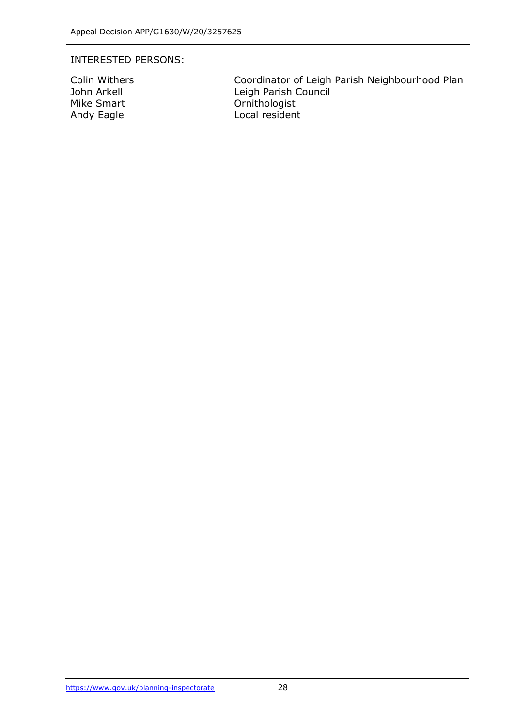#### INTERESTED PERSONS:

Colin Withers **Coordinator of Leigh Parish Neighbourhood Plan**<br>John Arkell **Coordinator Council** Leigh Parish Council Mike Smart **Canadian Communist** Ornithologist Andy Eagle **Local resident**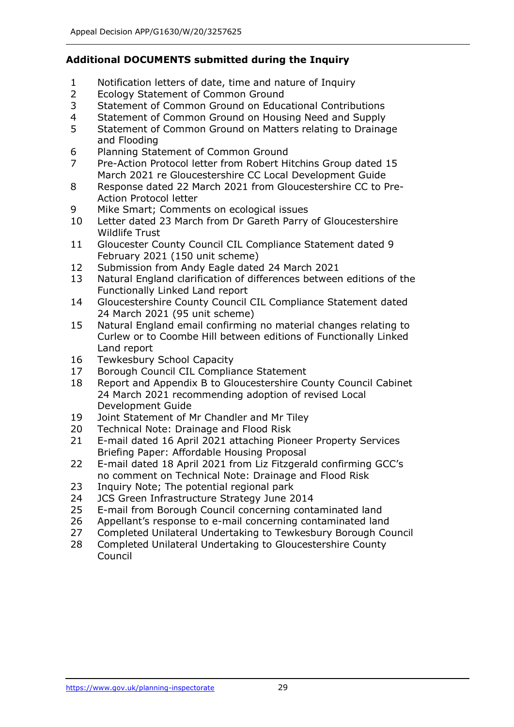# **Additional DOCUMENTS submitted during the Inquiry**

- 1 Notification letters of date, time and nature of Inquiry
- 2 Ecology Statement of Common Ground
- 3 Statement of Common Ground on Educational Contributions
- 4 Statement of Common Ground on Housing Need and Supply
- 5 Statement of Common Ground on Matters relating to Drainage and Flooding
- 6 Planning Statement of Common Ground
- 7 Pre-Action Protocol letter from Robert Hitchins Group dated 15 March 2021 re Gloucestershire CC Local Development Guide
- 8 Response dated 22 March 2021 from Gloucestershire CC to Pre-Action Protocol letter
- 9 Mike Smart; Comments on ecological issues
- 10 Letter dated 23 March from Dr Gareth Parry of Gloucestershire Wildlife Trust
- 11 Gloucester County Council CIL Compliance Statement dated 9 February 2021 (150 unit scheme)
- 12 Submission from Andy Eagle dated 24 March 2021
- 13 Natural England clarification of differences between editions of the Functionally Linked Land report
- 14 Gloucestershire County Council CIL Compliance Statement dated 24 March 2021 (95 unit scheme)
- 15 Natural England email confirming no material changes relating to Curlew or to Coombe Hill between editions of Functionally Linked Land report
- 16 Tewkesbury School Capacity
- 17 Borough Council CIL Compliance Statement
- 18 Report and Appendix B to Gloucestershire County Council Cabinet 24 March 2021 recommending adoption of revised Local Development Guide
- 19 Joint Statement of Mr Chandler and Mr Tiley
- 20 Technical Note: Drainage and Flood Risk
- 21 E-mail dated 16 April 2021 attaching Pioneer Property Services Briefing Paper: Affordable Housing Proposal
- 22 E-mail dated 18 April 2021 from Liz Fitzgerald confirming GCC's no comment on Technical Note: Drainage and Flood Risk
- 23 Inquiry Note; The potential regional park
- 24 JCS Green Infrastructure Strategy June 2014
- 25 E-mail from Borough Council concerning contaminated land
- 26 Appellant's response to e-mail concerning contaminated land
- 27 Completed Unilateral Undertaking to Tewkesbury Borough Council
- 28 Completed Unilateral Undertaking to Gloucestershire County Council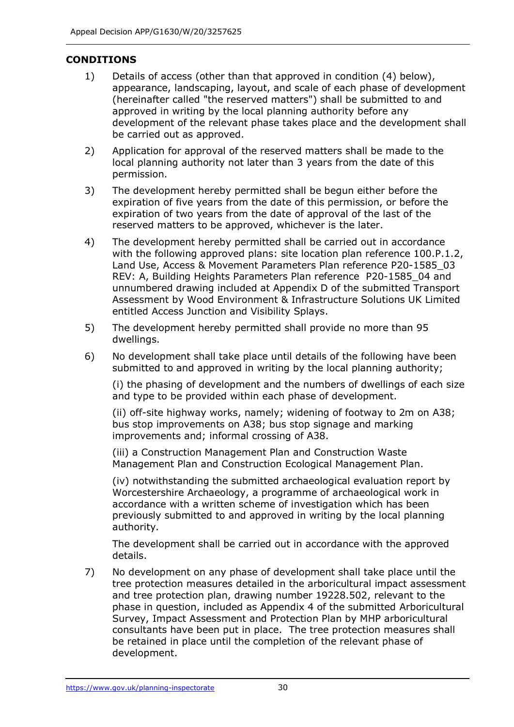# **CONDITIONS**

- 1) Details of access (other than that approved in condition (4) below), appearance, landscaping, layout, and scale of each phase of development (hereinafter called "the reserved matters") shall be submitted to and approved in writing by the local planning authority before any development of the relevant phase takes place and the development shall be carried out as approved.
- 2) Application for approval of the reserved matters shall be made to the local planning authority not later than 3 years from the date of this permission.
- 3) The development hereby permitted shall be begun either before the expiration of five years from the date of this permission, or before the expiration of two years from the date of approval of the last of the reserved matters to be approved, whichever is the later.
- 4) The development hereby permitted shall be carried out in accordance with the following approved plans: site location plan reference 100.P.1.2, Land Use, Access & Movement Parameters Plan reference P20-1585\_03 REV: A, Building Heights Parameters Plan reference P20-1585\_04 and unnumbered drawing included at Appendix D of the submitted Transport Assessment by Wood Environment & Infrastructure Solutions UK Limited entitled Access Junction and Visibility Splays.
- 5) The development hereby permitted shall provide no more than 95 dwellings.
- 6) No development shall take place until details of the following have been submitted to and approved in writing by the local planning authority;

(i) the phasing of development and the numbers of dwellings of each size and type to be provided within each phase of development.

(ii) off-site highway works, namely; widening of footway to 2m on A38; bus stop improvements on A38; bus stop signage and marking improvements and; informal crossing of A38.

(iii) a Construction Management Plan and Construction Waste Management Plan and Construction Ecological Management Plan.

(iv) notwithstanding the submitted archaeological evaluation report by Worcestershire Archaeology, a programme of archaeological work in accordance with a written scheme of investigation which has been previously submitted to and approved in writing by the local planning authority.

The development shall be carried out in accordance with the approved details.

7) No development on any phase of development shall take place until the tree protection measures detailed in the arboricultural impact assessment and tree protection plan, drawing number 19228.502, relevant to the phase in question, included as Appendix 4 of the submitted Arboricultural Survey, Impact Assessment and Protection Plan by MHP arboricultural consultants have been put in place. The tree protection measures shall be retained in place until the completion of the relevant phase of development.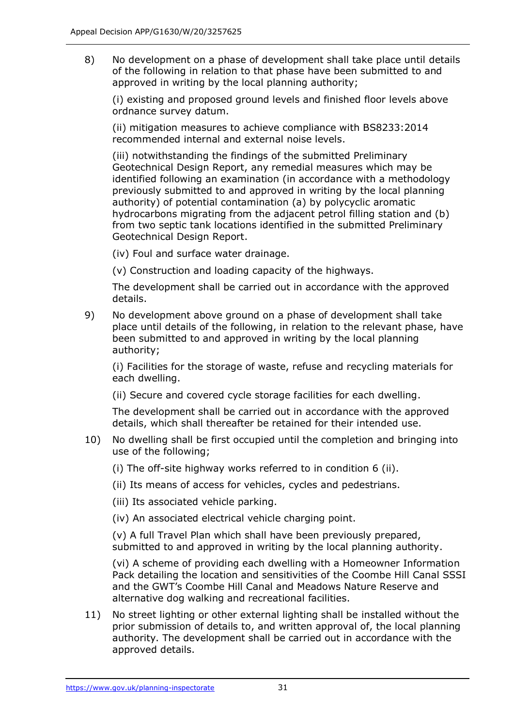8) No development on a phase of development shall take place until details of the following in relation to that phase have been submitted to and approved in writing by the local planning authority;

(i) existing and proposed ground levels and finished floor levels above ordnance survey datum.

(ii) mitigation measures to achieve compliance with BS8233:2014 recommended internal and external noise levels.

(iii) notwithstanding the findings of the submitted Preliminary Geotechnical Design Report, any remedial measures which may be identified following an examination (in accordance with a methodology previously submitted to and approved in writing by the local planning authority) of potential contamination (a) by polycyclic aromatic hydrocarbons migrating from the adjacent petrol filling station and (b) from two septic tank locations identified in the submitted Preliminary Geotechnical Design Report.

(iv) Foul and surface water drainage.

(v) Construction and loading capacity of the highways.

The development shall be carried out in accordance with the approved details.

9) No development above ground on a phase of development shall take place until details of the following, in relation to the relevant phase, have been submitted to and approved in writing by the local planning authority;

(i) Facilities for the storage of waste, refuse and recycling materials for each dwelling.

(ii) Secure and covered cycle storage facilities for each dwelling.

The development shall be carried out in accordance with the approved details, which shall thereafter be retained for their intended use.

- 10) No dwelling shall be first occupied until the completion and bringing into use of the following;
	- (i) The off-site highway works referred to in condition 6 (ii).
	- (ii) Its means of access for vehicles, cycles and pedestrians.
	- (iii) Its associated vehicle parking.
	- (iv) An associated electrical vehicle charging point.

(v) A full Travel Plan which shall have been previously prepared, submitted to and approved in writing by the local planning authority.

(vi) A scheme of providing each dwelling with a Homeowner Information Pack detailing the location and sensitivities of the Coombe Hill Canal SSSI and the GWT's Coombe Hill Canal and Meadows Nature Reserve and alternative dog walking and recreational facilities.

11) No street lighting or other external lighting shall be installed without the prior submission of details to, and written approval of, the local planning authority. The development shall be carried out in accordance with the approved details.